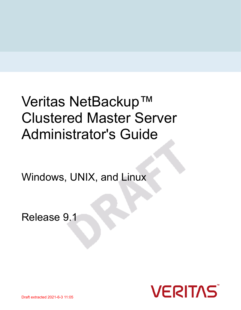# Veritas NetBackup™ Clustered Master Server Administrator's Guide

Windows, UNIX, and Linux

Release 9.1

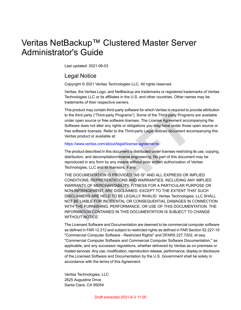### Veritas NetBackup™ Clustered Master Server Administrator's Guide

Last updated: 2021-06-03

#### Legal Notice

Copyright © 2021 Veritas Technologies LLC. All rights reserved.

Veritas, the Veritas Logo, and NetBackup are trademarks or registered trademarks of Veritas Technologies LLC or its affiliates in the U.S. and other countries. Other names may be trademarks of their respective owners.

This product may contain third-party software for which Veritas is required to provide attribution to the third party ("Third-party Programs"). Some of the Third-party Programs are available under open source or free software licenses. The License Agreement accompanying the Software does not alter any rights or obligations you may have under those open source or free software licenses. Refer to the Third-party Legal Notices document accompanying this Veritas product or available at:

#### <https://www.veritas.com/about/legal/license-agreements>

The product described in this document is distributed under licenses restricting its use, copying, distribution, and decompilation/reverse engineering. No part of this document may be reproduced in any form by any means without prior written authorization of Veritas Technologies, LLC and its licensors, if any.

THE DOCUMENTATION IS PROVIDED "AS IS" AND ALL EXPRESS OR IMPLIED CONDITIONS, REPRESENTATIONS AND WARRANTIES, INCLUDING ANY IMPLIED WARRANTY OF MERCHANTABILITY, FITNESS FOR A PARTICULAR PURPOSE OR NON-INFRINGEMENT, ARE DISCLAIMED, EXCEPT TO THE EXTENT THAT SUCH DISCLAIMERS ARE HELD TO BE LEGALLY INVALID. Veritas Technologies, LLC SHALL NOT BE LIABLE FOR INCIDENTAL OR CONSEQUENTIAL DAMAGES IN CONNECTION WITH THE FURNISHING, PERFORMANCE, OR USE OF THIS DOCUMENTATION. THE INFORMATION CONTAINED IN THIS DOCUMENTATION IS SUBJECT TO CHANGE WITHOUT NOTICE.

The Licensed Software and Documentation are deemed to be commercial computer software as defined in FAR 12.212 and subject to restricted rights as defined in FAR Section 52.227-19 "Commercial Computer Software - Restricted Rights" and DFARS 227.7202, et seq. "Commercial Computer Software and Commercial Computer Software Documentation," as applicable, and any successor regulations, whether delivered by Veritas as on premises or hosted services. Any use, modification, reproduction release, performance, display or disclosure of the Licensed Software and Documentation by the U.S. Government shall be solely in accordance with the terms of this Agreement.

Veritas Technologies, LLC 2625 Augustine Drive Santa Clara, CA 95054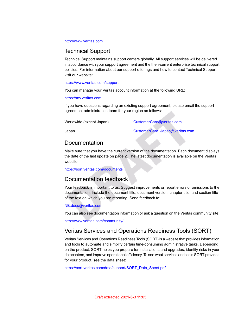#### <http://www.veritas.com>

#### Technical Support

Technical Support maintains support centers globally. All support services will be delivered in accordance with your support agreement and the then-current enterprise technical support policies. For information about our support offerings and how to contact Technical Support, visit our website:

#### <https://www.veritas.com/support>

You can manage your Veritas account information at the following URL:

#### <https://my.veritas.com>

If you have questions regarding an existing support agreement, please email the support agreement administration team for your region as follows:

Worldwide (except Japan) [CustomerCare@veritas.com](mailto:CustomerCare@veritas.com)

Japan CustomerCare Japan@veritas.com

### **Documentation**

Make sure that you have the current version of the documentation. Each document displays the date of the last update on page 2. The latest documentation is available on the Veritas website:

<https://sort.veritas.com/documents>

#### Documentation feedback

Your feedback is important to us. Suggest improvements or report errors or omissions to the documentation. Include the document title, document version, chapter title, and section title of the text on which you are reporting. Send feedback to:

#### [NB.docs@veritas.com](mailto:NB.docs@veritas.com)

You can also see documentation information or ask a question on the Veritas community site:

<http://www.veritas.com/community/>

#### Veritas Services and Operations Readiness Tools (SORT)

Veritas Services and Operations Readiness Tools (SORT) is a website that provides information and tools to automate and simplify certain time-consuming administrative tasks. Depending on the product, SORT helps you prepare for installations and upgrades, identify risks in your datacenters, and improve operational efficiency. To see what services and tools SORT provides for your product, see the data sheet:

[https://sort.veritas.com/data/support/SORT\\_Data\\_Sheet.pdf](https://sort.veritas.com/data/support/SORT_Data_Sheet.pdf)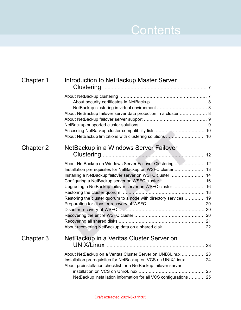## Contents L

| Chapter 1 | Introduction to NetBackup Master Server                                                                                            |  |
|-----------|------------------------------------------------------------------------------------------------------------------------------------|--|
|           |                                                                                                                                    |  |
|           |                                                                                                                                    |  |
|           | About NetBackup failover server data protection in a cluster  8                                                                    |  |
|           |                                                                                                                                    |  |
|           |                                                                                                                                    |  |
|           |                                                                                                                                    |  |
|           | About NetBackup limitations with clustering solutions  10                                                                          |  |
| Chapter 2 | NetBackup in a Windows Server Failover                                                                                             |  |
|           |                                                                                                                                    |  |
|           | About NetBackup on Windows Server Failover Clustering  12                                                                          |  |
|           | Installation prerequisites for NetBackup on WSFC cluster  13                                                                       |  |
|           | Installing a NetBackup failover server on WSFC cluster  14                                                                         |  |
|           | Configuring a NetBackup server on WSFC cluster  16                                                                                 |  |
|           | Upgrading a NetBackup failover server on WSFC cluster  16                                                                          |  |
|           |                                                                                                                                    |  |
|           | Restoring the cluster quorum to a node with directory services  19                                                                 |  |
|           |                                                                                                                                    |  |
|           |                                                                                                                                    |  |
|           |                                                                                                                                    |  |
|           |                                                                                                                                    |  |
|           | About recovering NetBackup data on a shared disk  22                                                                               |  |
| Chapter 3 | NetBackup in a Veritas Cluster Server on                                                                                           |  |
|           |                                                                                                                                    |  |
|           | About NetBackup on a Veritas Cluster Server on UNIX/Linux  23<br>Installation prerequisites for NetBackup on VCS on UNIX/Linux  24 |  |
|           | About preinstallation checklist for a NetBackup failover server                                                                    |  |
|           |                                                                                                                                    |  |
|           | NetBackup installation information for all VCS configurations  25                                                                  |  |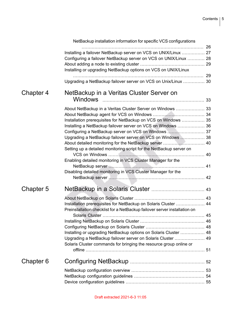|                      | NetBackup installation information for specific VCS configurations        |  |
|----------------------|---------------------------------------------------------------------------|--|
|                      |                                                                           |  |
|                      | Installing a failover NetBackup server on VCS on UNIX/Linux  27           |  |
|                      | Configuring a failover NetBackup server on VCS on UNIX/Linux  28          |  |
|                      |                                                                           |  |
|                      | Installing or upgrading NetBackup options on VCS on UNIX/Linux            |  |
|                      |                                                                           |  |
|                      | Upgrading a NetBackup failover server on VCS on Unix/Linux  30            |  |
| Chapter 4            | NetBackup in a Veritas Cluster Server on<br><b>Windows</b>                |  |
|                      | About NetBackup in a Veritas Cluster Server on Windows  33                |  |
|                      |                                                                           |  |
|                      | Installation prerequisites for NetBackup on VCS on Windows  35            |  |
|                      | Installing a NetBackup failover server on VCS on Windows  36              |  |
|                      |                                                                           |  |
|                      | Upgrading a NetBackup failover server on VCS on Windows  38               |  |
|                      | About detailed monitoring for the NetBackup server  40                    |  |
|                      | Setting up a detailed monitoring script for the NetBackup server on       |  |
|                      |                                                                           |  |
|                      | Enabling detailed monitoring in VCS Cluster Manager for the               |  |
|                      |                                                                           |  |
|                      | Disabling detailed monitoring in VCS Cluster Manager for the              |  |
|                      |                                                                           |  |
|                      |                                                                           |  |
| Chapter 5            |                                                                           |  |
|                      |                                                                           |  |
|                      | Installation prerequisites for NetBackup on Solaris Cluster  44           |  |
|                      | Preinstallation checklist for a NetBackup failover server installation on |  |
|                      |                                                                           |  |
|                      |                                                                           |  |
|                      |                                                                           |  |
|                      | Installing or upgrading NetBackup options on Solaris Cluster  48          |  |
|                      | Upgrading a NetBackup failover server on Solaris Cluster  49              |  |
|                      | Solaris Cluster commands for bringing the resource group online or        |  |
|                      |                                                                           |  |
|                      |                                                                           |  |
| Chapter <sub>6</sub> |                                                                           |  |
|                      |                                                                           |  |
|                      |                                                                           |  |
|                      |                                                                           |  |
|                      |                                                                           |  |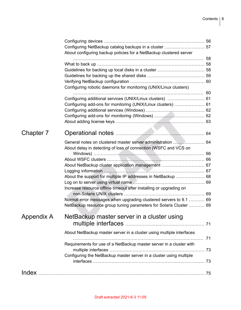|            | About configuring backup policies for a NetBackup clustered server   |  |
|------------|----------------------------------------------------------------------|--|
|            |                                                                      |  |
|            |                                                                      |  |
|            |                                                                      |  |
|            |                                                                      |  |
|            | Configuring robotic daemons for monitoring (UNIX/Linux clusters)     |  |
|            |                                                                      |  |
|            | Configuring add-ons for monitoring (UNIX/Linux clusters)  61         |  |
|            |                                                                      |  |
|            |                                                                      |  |
|            |                                                                      |  |
| Chapter 7  |                                                                      |  |
|            | General notes on clustered master server administration  64          |  |
|            | About delay in detecting of loss of connection (WSFC and VCS on      |  |
|            |                                                                      |  |
|            |                                                                      |  |
|            | About NetBackup cluster application management  67                   |  |
|            | About the support for multiple IP addresses in NetBackup  68         |  |
|            |                                                                      |  |
|            | Increase resource offline timeout after installing or upgrading on   |  |
|            |                                                                      |  |
|            | Normal error messages when upgrading clustered servers to 9.1  69    |  |
|            | NetBackup resource group tuning parameters for Solaris Cluster  69   |  |
| Appendix A | NetBackup master server in a cluster using                           |  |
|            |                                                                      |  |
|            | About NetBackup master server in a cluster using multiple interfaces |  |
|            | Requirements for use of a NetBackup master server in a cluster with  |  |
|            |                                                                      |  |
|            | Configuring the NetBackup master server in a cluster using multiple  |  |
|            |                                                                      |  |
|            |                                                                      |  |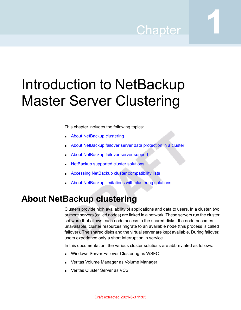## Chapter

# <span id="page-6-0"></span>Introduction to NetBackup Master Server Clustering

This chapter includes the following topics:

- About [NetBackup](#page-6-1) clustering
- About [NetBackup](#page-7-2) failover server data protection in a cluster
- About [NetBackup](#page-8-0) failover server support
- [NetBackup](#page-8-1) supported cluster solutions
- <span id="page-6-1"></span>Accessing NetBackup cluster [compatibility](#page-9-0) lists
- About [NetBackup](#page-9-1) limitations with clustering solutions

### **About NetBackup clustering**

Clusters provide high availability of applications and data to users. In a cluster, two or more servers (called nodes) are linked in a network. These servers run the cluster software that allows each node access to the shared disks. If a node becomes unavailable, cluster resources migrate to an available node (this process is called failover). The shared disks and the virtual server are kept available. During failover, users experience only a short interruption in service.

In this documentation, the various cluster solutions are abbreviated as follows:

- Windows Server Failover Clustering as WSFC
- Veritas Volume Manager as Volume Manager
- Veritas Cluster Server as VCS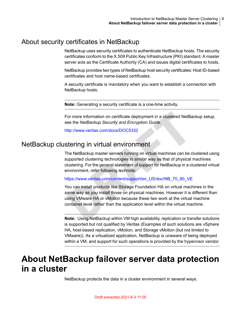### About security certificates in NetBackup

<span id="page-7-0"></span>NetBackup uses security certificates to authenticate NetBackup hosts. The security certificates conform to the X.509 Public Key Infrastructure (PKI) standard. A master server acts as the Certificate Authority (CA) and issues digital certificates to hosts.

NetBackup provides two types of NetBackup host security certificates: Host ID-based certificates and host name-based certificates.

A security certificate is mandatory when you want to establish a connection with NetBackup hosts.

**Note:** Generating a security certificate is a one-time activity.

<span id="page-7-1"></span>For more information on certificate deployment in a clustered NetBackup setup, see the *NetBackup Security and Encryption Guide*.

<http://www.veritas.com/docs/DOC5332>

### NetBackup clustering in virtual environment

The NetBackup master servers running on virtual machines can be clustered using supported clustering technologies in similar way as that of physical machines clustering. For the general statement of support for NetBackup in a clustered virtual environment, refer following technote.

[https://www.veritas.com/content/support/en\\_US/doc/NB\\_70\\_80\\_VE](https://www.veritas.com/content/support/en_US/doc/NB_70_80_VE)

You can install products like Storage Foundation HA on virtual machines in the same way as you install those on physical machines. However it is different than using VMware HA or vMotion because these two work at the virtual machine container level rather than the application level within the virtual machine.

<span id="page-7-2"></span>**Note:** Using NetBackup within VM high availability, replication or transfer solutions is supported but not qualified by Veritas (Examples of such solutions are vSphere HA, host-based replication, vMotion, and Storage vMotion (but not limited to VMware)). As a virtualized application, NetBackup is unaware of being deployed within a VM, and support for such operations is provided by the hypervisor vendor.

### **About NetBackup failover server data protection in a cluster**

NetBackup protects the data in a cluster environment in several ways.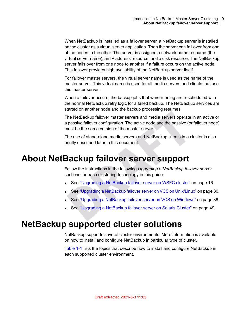When NetBackup is installed as a failover server, a NetBackup server is installed on the cluster as a virtual server application. Then the server can fail over from one of the nodes to the other. The server is assigned a network name resource (the virtual server name), an IP address resource, and a disk resource. The NetBackup server fails over from one node to another if a failure occurs on the active node. This failover provides high availability of the NetBackup server itself.

For failover master servers, the virtual server name is used as the name of the master server. This virtual name is used for all media servers and clients that use this master server.

When a failover occurs, the backup jobs that were running are rescheduled with the normal NetBackup retry logic for a failed backup. The NetBackup services are started on another node and the backup processing resumes.

The NetBackup failover master servers and media servers operate in an active or a passive failover configuration. The active node and the passive (or failover node) must be the same version of the master server.

<span id="page-8-0"></span>The use of stand-alone media servers and NetBackup clients in a cluster is also briefly described later in this document.

### **About NetBackup failover server support**

Follow the instructions in the following *Upgrading a NetBackup failover server* sections for each clustering technology in this guide:

- See ["Upgrading](#page-15-1) a NetBackup failover server on WSFC cluster" on page 16.
- <span id="page-8-1"></span>■ See "Upgrading a NetBackup failover server on VCS on [Unix/Linux"](#page-29-0) on page 30.
- See ["Upgrading](#page-37-0) a NetBackup failover server on VCS on Windows" on page 38.
- See ["Upgrading](#page-48-0) a NetBackup failover server on Solaris Cluster" on page 49.

### **NetBackup supported cluster solutions**

NetBackup supports several cluster environments. More information is available on how to install and configure NetBackup in particular type of cluster.

[Table](#page-9-2) 1-1 lists the topics that describe how to install and configure NetBackup in each supported cluster environment.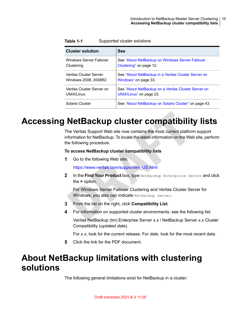| <b>Cluster solution</b>   | <b>See</b>                                            |
|---------------------------|-------------------------------------------------------|
| Windows Server Failover   | See "About NetBackup on Windows Server Failover       |
| Clustering                | Clustering" on page 12.                               |
| Veritas Cluster Server    | See "About NetBackup in a Veritas Cluster Server on   |
| Windows 2008, 2008R2      | Windows" on page 33.                                  |
| Veritas Cluster Server on | See "About NetBackup on a Veritas Cluster Server on   |
| UNIX/Linux                | UNIX/Linux" on page 23.                               |
| Solaris Cluster           | See "About Net Backup on Solaris Cluster" on page 43. |

<span id="page-9-2"></span>**Table 1-1** Supported cluster solutions

## **Accessing NetBackup cluster compatibility lists**

<span id="page-9-0"></span>The Veritas Support Web site now contains the most current platform support information for NetBackup. To locate the latest information on the Web site, perform the following procedure.

#### **To access NetBackup cluster compatibility lists**

**1** Go to the following Web site:

[https://www.veritas.com/support/en\\_US.html](https://www.veritas.com/support/en_US.html)

**2** In the **Find Your Product** box, type NetBackup Enterprise Server and click the **>** option.

For Windows Server Failover Clustering and Veritas Cluster Server for Windows, you also can indicate NetBackup Server.

- **3** From the list on the right, click **Compatibility List**.
- <span id="page-9-1"></span>**4** For information on supported cluster environments, see the following list:

Veritas NetBackup (tm) Enterprise Server *x.x* / NetBackup Server *x.x* Cluster Compatibility (updated *date*).

For *x.x*, look for the current release. For *date*, look for the most recent date.

**5** Click the link for the PDF document.

### **About NetBackup limitations with clustering solutions**

The following general limitations exist for NetBackup in a cluster: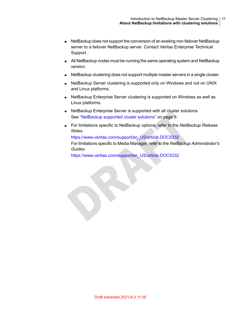- NetBackup does not support the conversion of an existing non-failover NetBackup server to a failover NetBackup server. Contact Veritas Enterprise Technical Support .
- All NetBackup nodes must be running the same operating system and NetBackup version.
- NetBackup clustering does not support multiple master servers in a single cluster.
- NetBackup Server clustering is supported only on Windows and not on UNIX and Linux platforms.
- NetBackup Enterprise Server clustering is supported on Windows as well as Linux platforms.
- NetBackup Enterprise Server is supported with all cluster solutions See ["NetBackup](#page-8-1) supported cluster solutions" on page 9.
- For limitations specific to NetBackup options, refer to the *NetBackup Release Notes*.

[https://www.veritas.com/support/en\\_US/article.DOC5332](https://www.veritas.com/support/en_US/article.DOC5332)

For limitations specific to Media Manager, refer to the *NetBackup Administrator's Guides*.

[https://www.veritas.com/support/en\\_US/article.DOC5332](https://www.veritas.com/support/en_US/article.DOC5332)

S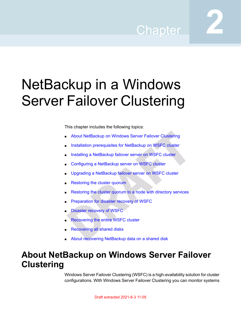## Chapter

# <span id="page-11-0"></span>NetBackup in a Windows Server Failover Clustering

This chapter includes the following topics:

- About [NetBackup](#page-11-1) on Windows Server Failover Clustering
- Installation [prerequisites](#page-12-0) for NetBackup on WSFC cluster
- Installing a [NetBackup](#page-13-0) failover server on WSFC cluster
- [Configuring](#page-15-0) a NetBackup server on WSFC cluster
- Upgrading a [NetBackup](#page-15-1) failover server on WSFC cluster
- [Restoring](#page-17-0) the cluster quorum
- [Restoring](#page-18-0) the cluster quorum to a node with directory services
- [Preparation](#page-19-0) for disaster recovery of WSFC
- Disaster [recovery](#page-19-1) of WSFC
- <span id="page-11-1"></span>**[Recovering](#page-19-2) the entire WSFC cluster**
- **[Recovering](#page-20-0) all shared disks**
- About recovering [NetBackup](#page-21-0) data on a shared disk

## **About NetBackup on Windows Server Failover Clustering**

Windows Server Failover Clustering (WSFC) is a high-availability solution for cluster configurations. With Windows Server Failover Clustering you can monitor systems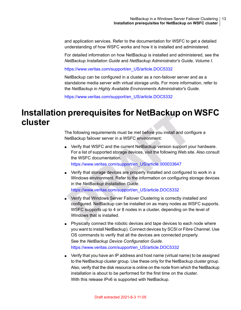and application services. Refer to the documentation for WSFC to get a detailed understanding of how WSFC works and how it is installed and administered.

For detailed information on how NetBackup is installed and administered, see the *NetBackup Installation Guide* and *NetBackup Administrator's Guide, Volume I*.

[https://www.veritas.com/support/en\\_US/article.DOC5332](https://www.veritas.com/support/en_US/article.DOC5332)

NetBackup can be configured in a cluster as a non-failover server and as a standalone media server with virtual storage units. For more information, refer to the *NetBackup in Highly Available Environments Administrator's Guide*.

<span id="page-12-0"></span>[https://www.veritas.com/support/en\\_US/article.DOC5332](https://www.veritas.com/support/en_US/article.DOC5332)

### **Installation prerequisites for NetBackup on WSFC cluster**

The following requirements must be met before you install and configure a NetBackup failover server in a WSFC environment:

■ Verify that WSFC and the current NetBackup version support your hardware. For a list of supported storage devices, visit the following Web site. Also consult the WSFC documentation.

[https://www.veritas.com/support/en\\_US/article.000033647](https://www.veritas.com/support/en_US/article.000033647)

- Verify that storage devices are properly installed and configured to work in a Windows environment. Refer to the information on configuring storage devices in the *NetBackup Installation Guide*. [https://www.veritas.com/support/en\\_US/article.DOC5332](https://www.veritas.com/support/en_US/article.DOC5332)
- Verify that Windows Server Failover Clustering is correctly installed and configured. NetBackup can be installed on as many nodes as WSFC supports. WSFC supports up to 4 or 8 nodes in a cluster, depending on the level of Windows that is installed.
- Physically connect the robotic devices and tape devices to each node where you want to install NetBackup). Connect devices by SCSI or Fibre Channel. Use OS commands to verify that all the devices are connected properly. See the *NetBackup Device Configuration Guide*. [https://www.veritas.com/support/en\\_US/article.DOC5332](https://www.veritas.com/support/en_US/article.DOC5332)
- Verify that you have an IP address and host name (virtual name) to be assigned to the NetBackup cluster group. Use these only for the NetBackup cluster group. Also, verify that the disk resource is online on the node from which the NetBackup installation is about to be performed for the first time on the cluster. With this release IPv6 is supported with NetBackup.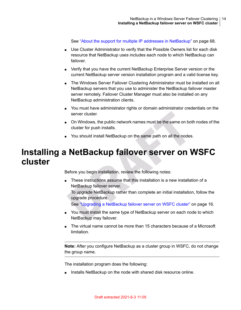See "About the support for multiple IP addresses in [NetBackup"](#page-67-0) on page 68.

- Use Cluster Administrator to verify that the Possible Owners list for each disk resource that NetBackup uses includes each node to which NetBackup can failover.
- Verify that you have the current NetBackup Enterprise Server version or the current NetBackup server version installation program and a valid license key.
- The Windows Server Failover Clustering Administrator must be installed on all NetBackup servers that you use to administer the NetBackup failover master server remotely. Failover Cluster Manager must also be installed on any NetBackup administration clients.
- You must have administrator rights or domain administrator credentials on the server cluster.
- <span id="page-13-0"></span>■ On Windows, the public network names must be the same on both nodes of the cluster for push installs.
- You should install NetBackup on the same path on all the nodes.

### **Installing a NetBackup failover server on WSFC cluster**

Before you begin installation, review the following notes:

■ These instructions assume that this installation is a new installation of a NetBackup failover server.

To upgrade NetBackup rather than complete an initial installation, follow the upgrade procedure.

See ["Upgrading](#page-15-1) a NetBackup failover server on WSFC cluster" on page 16.

- You must install the same type of NetBackup server on each node to which NetBackup may failover.
- The virtual name cannot be more than 15 characters because of a Microsoft limitation.

**Note:** After you configure NetBackup as a cluster group in WSFC, do not change the group name.

The installation program does the following:

■ Installs NetBackup on the node with shared disk resource online.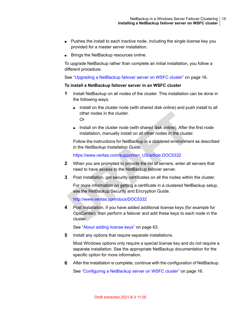- Pushes the install to each inactive node, including the single license key you provided for a master server installation.
- Brings the NetBackup resources online.

To upgrade NetBackup rather than complete an initial installation, you follow a different procedure.

See ["Upgrading](#page-15-1) a NetBackup failover server on WSFC cluster" on page 16.

#### **To install a NetBackup failover server in an WSFC cluster**

- **1** Install NetBackup on all nodes of the cluster. This installation can be done in the following ways:
	- Install on the cluster node (with shared disk online) and push install to all other nodes in the cluster. Or
	- Install on the cluster node (with shared disk online). After the first node installation, manually install on all other nodes in the cluster.

Follow the instructions for NetBackup in a clustered environment as described in the *NetBackup Installation Guide*.

[https://www.veritas.com/support/en\\_US/article.DOC5332](https://www.veritas.com/support/en_US/article.DOC5332)

- **2** When you are prompted to provide the list of servers, enter all servers that need to have access to the NetBackup failover server.
- **3** Post installation, get security certificates on all the nodes within the cluster.

For more information on getting a certificate in a clustered NetBackup setup, see the NetBackup Security and Encryption Guide.

<http://www.veritas.com/docs/DOC5332>

**4** Post installation, if you have added additional license keys (for example for OpsCenter), then perform a failover and add these keys to each node in the cluster.

See "About adding [license](#page-62-0) keys" on page 63.

**5** Install any options that require separate installations.

Most Windows options only require a special license key and do not require a separate installation. See the appropriate NetBackup documentation for the specific option for more information.

**6** After the installation is complete, continue with the configuration of NetBackup.

See ["Configuring](#page-15-0) a NetBackup server on WSFC cluster" on page 16.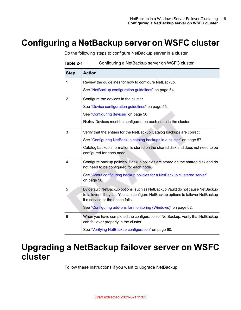## **Configuring a NetBackup server on WSFC cluster**

<span id="page-15-0"></span>Do the following steps to configure NetBackup server in a cluster.

| <b>Step</b>    | <b>Action</b>                                                                                                                                                                                              |
|----------------|------------------------------------------------------------------------------------------------------------------------------------------------------------------------------------------------------------|
| 1              | Review the guidelines for how to configure NetBackup.                                                                                                                                                      |
|                | See "NetBackup configuration guidelines" on page 54.                                                                                                                                                       |
| $\overline{2}$ | Configure the devices in the cluster.                                                                                                                                                                      |
|                | See "Device configuration guidelines" on page 55.                                                                                                                                                          |
|                | See "Configuring devices" on page 56.                                                                                                                                                                      |
|                | <b>Note:</b> Devices must be configured on each node in the cluster.                                                                                                                                       |
| 3              | Verify that the entries for the NetBackup Catalog backups are correct.                                                                                                                                     |
|                | See "Configuring NetBackup catalog backups in a cluster" on page 57.                                                                                                                                       |
|                | Catalog backup information is stored on the shared disk and does not need to be<br>configured for each node.                                                                                               |
| 4              | Configure backup policies. Backup policies are stored on the shared disk and do<br>not need to be configured for each node.                                                                                |
|                | See "About configuring backup policies for a NetBackup clustered server"<br>on page 58.                                                                                                                    |
| 5              | By default, NetBackup options (such as NetBackup Vault) do not cause NetBackup<br>to failover if they fail. You can configure NetBackup options to failover NetBackup<br>if a service or the option fails. |
|                | See "Configuring add-ons for monitoring (Windows)" on page 62.                                                                                                                                             |
| 6              | When you have completed the configuration of NetBackup, verify that NetBackup<br>can fail over properly in the cluster.                                                                                    |
|                | See "Verifying NetBackup configuration" on page 60.                                                                                                                                                        |

#### **Table 2-1** Configuring a NetBackup server on WSFC cluster

### <span id="page-15-1"></span>**Upgrading a NetBackup failover server on WSFC cluster**

Follow these instructions if you want to upgrade NetBackup.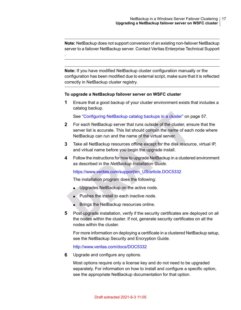**Note:** NetBackup does not support conversion of an existing non-failover NetBackup server to a failover NetBackup server. Contact Veritas Enterprise Technical Support

**Note:** If you have modified NetBackup cluster configuration manually or the configuration has been modified due to external script, make sure that it is reflected correctly in NetBackup cluster registry.

#### **To upgrade a NetBackup failover server on WSFC cluster**

.

**1** Ensure that a good backup of your cluster environment exists that includes a catalog backup.

See ["Configuring](#page-56-0) NetBackup catalog backups in a cluster" on page 57.

- **2** For each NetBackup server that runs outside of the cluster, ensure that the server list is accurate. This list should contain the name of each node where NetBackup can run and the name of the virtual server.
- **3** Take all NetBackup resources offline except for the disk resource, virtual IP, and virtual name before you begin the upgrade install.
- **4** Follow the instructions for how to upgrade NetBackup in a clustered environment as described in the *NetBackup Installation Guide*.

#### [https://www.veritas.com/support/en\\_US/article.DOC5332](https://www.veritas.com/support/en_US/article.DOC5332)

The installation program does the following:

- Upgrades NetBackup on the active node.
- Pushes the install to each inactive node.
- Brings the NetBackup resources online.
- **5** Post upgrade installation, verify if the security certificates are deployed on all the nodes within the cluster. If not, generate security certificates on all the nodes within the cluster.

For more information on deploying a certificate in a clustered NetBackup setup, see the NetBackup Security and Encryption Guide.

<http://www.veritas.com/docs/DOC5332>

**6** Upgrade and configure any options.

Most options require only a license key and do not need to be upgraded separately. For information on how to install and configure a specific option, see the appropriate NetBackup documentation for that option.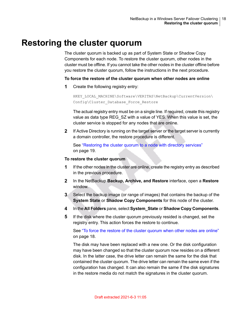### **Restoring the cluster quorum**

<span id="page-17-0"></span>The cluster quorum is backed up as part of System State or Shadow Copy Components for each node. To restore the cluster quorum, other nodes in the cluster must be offline. If you cannot take the other nodes in the cluster offline before you restore the cluster quorum, follow the instructions in the next procedure.

#### <span id="page-17-1"></span>**To force the restore of the cluster quorum when other nodes are online**

**1** Create the following registry entry:

HKEY\_LOCAL\_MACHINE\Software\VERITAS\NetBackup\CurrentVersion\ Config\Cluster\_Database\_Force\_Restore

The actual registry entry must be on a single line. If required, create this registry value as data type REG\_SZ with a value of YES. When this value is set, the cluster service is stopped for any nodes that are online.

**2** If Active Directory is running on the target server or the target server is currently a domain controller, the restore procedure is different.

See ["Restoring](#page-18-0) the cluster quorum to a node with directory services" on page 19.

#### **To restore the cluster quorum**

- **1** If the other nodes in the cluster are online, create the registry entry as described in the previous procedure.
- **2** In the NetBackup **Backup, Archive, and Restore** interface, open a **Restore** window.
- **3** Select the backup image (or range of images) that contains the backup of the **System State** or **Shadow Copy Components** for this node of the cluster.
- **4** In the **All Folders** pane, select **System\_State** or **Shadow Copy Components**.
- **5** If the disk where the cluster quorum previously resided is changed, set the registry entry. This action forces the restore to continue.

See "To force the restore of the cluster [quorum](#page-17-1) when other nodes are online" on page 18.

The disk may have been replaced with a new one. Or the disk configuration may have been changed so that the cluster quorum now resides on a different disk. In the latter case, the drive letter can remain the same for the disk that contained the cluster quorum. The drive letter can remain the same even if the configuration has changed. It can also remain the same if the disk signatures in the restore media do not match the signatures in the cluster quorum.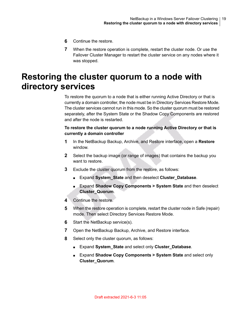- **6** Continue the restore.
- <span id="page-18-0"></span>**7** When the restore operation is complete, restart the cluster node. Or use the Failover Cluster Manager to restart the cluster service on any nodes where it was stopped.

## **Restoring the cluster quorum to a node with directory services**

To restore the quorum to a node that is either running Active Directory or that is currently a domain controller, the node must be in Directory Services Restore Mode. The cluster services cannot run in this mode. So the cluster quorum must be restored separately, after the System State or the Shadow Copy Components are restored and after the node is restarted.

#### **To restore the cluster quorum to a node running Active Directory or that is currently a domain controller**

- **1** In the NetBackup Backup, Archive, and Restore interface, open a **Restore** window.
- **2** Select the backup image (or range of images) that contains the backup you want to restore.
- **3** Exclude the cluster quorum from the restore, as follows:
	- Expand **System\_State** and then deselect **Cluster\_Database**.
	- Expand **Shadow Copy Components > System State** and then deselect **Cluster\_Quorum**.
- **4** Continue the restore.
- **5** When the restore operation is complete, restart the cluster node in Safe (repair) mode. Then select Directory Services Restore Mode.
- **6** Start the NetBackup service(s).
- **7** Open the NetBackup Backup, Archive, and Restore interface.
- **8** Select only the cluster quorum, as follows:
	- Expand **System\_State** and select only **Cluster\_Database**.
	- Expand **Shadow Copy Components > System State** and select only **Cluster\_Quorum**.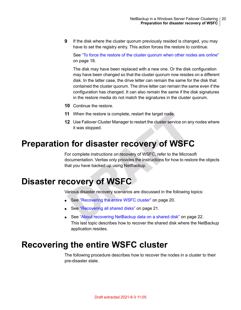**9** If the disk where the cluster quorum previously resided is changed, you may have to set the registry entry. This action forces the restore to continue.

See "To force the restore of the cluster [quorum](#page-17-1) when other nodes are online" on page 18.

The disk may have been replaced with a new one. Or the disk configuration may have been changed so that the cluster quorum now resides on a different disk. In the latter case, the drive letter can remain the same for the disk that contained the cluster quorum. The drive letter can remain the same even if the configuration has changed. It can also remain the same if the disk signatures in the restore media do not match the signatures in the cluster quorum.

- **10** Continue the restore.
- **11** When the restore is complete, restart the target node.
- <span id="page-19-0"></span>**12** Use Failover Cluster Manager to restart the cluster service on any nodes where it was stopped.

### **Preparation for disaster recovery of WSFC**

<span id="page-19-1"></span>For complete instructions on recovery of WSFC, refer to the Microsoft documentation. Veritas only provides the instructions for how to restore the objects that you have backed up using NetBackup.

## **Disaster recovery of WSFC**

Various disaster recovery scenarios are discussed in the following topics:

- See ["Recovering](#page-19-2) the entire WSFC cluster" on page 20.
- <span id="page-19-2"></span>■ See ["Recovering](#page-20-0) all shared disks" on page 21.
- See "About recovering [NetBackup](#page-21-0) data on a shared disk" on page 22. This last topic describes how to recover the shared disk where the NetBackup application resides.

### **Recovering the entire WSFC cluster**

The following procedure describes how to recover the nodes in a cluster to their pre-disaster state.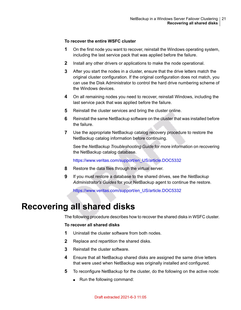#### **To recover the entire WSFC cluster**

- **1** On the first node you want to recover, reinstall the Windows operating system, including the last service pack that was applied before the failure.
- **2** Install any other drivers or applications to make the node operational.
- **3** After you start the nodes in a cluster, ensure that the drive letters match the original cluster configuration. If the original configuration does not match, you can use the Disk Administrator to control the hard drive numbering scheme of the Windows devices.
- **4** On all remaining nodes you need to recover, reinstall Windows, including the last service pack that was applied before the failure.
- **5** Reinstall the cluster services and bring the cluster online.
- **6** Reinstall the same NetBackup software on the cluster that was installed before the failure.
- **7** Use the appropriate NetBackup catalog recovery procedure to restore the NetBackup catalog information before continuing.

See the *NetBackup Troubleshooting Guide* for more information on recovering the NetBackup catalog database.

[https://www.veritas.com/support/en\\_US/article.DOC5332](https://www.veritas.com/support/en_US/article.DOC5332)

- **8** Restore the data files through the virtual server.
- <span id="page-20-0"></span>**9** If you must restore a database to the shared drives, see the *NetBackup Administrator's Guides* for your NetBackup agent to continue the restore.

[https://www.veritas.com/support/en\\_US/article.DOC5332](https://www.veritas.com/support/en_US/article.DOC5332)

### **Recovering all shared disks**

The following procedure describes how to recover the shared disks in WSFC cluster.

#### **To recover all shared disks**

- **1** Uninstall the cluster software from both nodes.
- **2** Replace and repartition the shared disks.
- **3** Reinstall the cluster software.
- **4** Ensure that all NetBackup shared disks are assigned the same drive letters that were used when NetBackup was originally installed and configured.
- **5** To reconfigure NetBackup for the cluster, do the following on the active node:
	- Run the following command: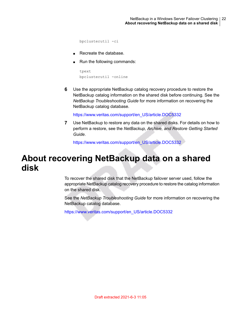bpclusterutil -ci

- Recreate the database
- Run the following commands:

```
tpext
bpclusterutil -online
```
**6** Use the appropriate NetBackup catalog recovery procedure to restore the NetBackup catalog information on the shared disk before continuing. See the *NetBackup Troubleshooting Guide* for more information on recovering the NetBackup catalog database.

[https://www.veritas.com/support/en\\_US/article.DOC5332](https://www.veritas.com/support/en_US/article.DOC5332)

<span id="page-21-0"></span>**7** Use NetBackup to restore any data on the shared disks. For details on how to perform a restore, see the *NetBackup, Archive, and Restore Getting Started Guide*.

[https://www.veritas.com/support/en\\_US/article.DOC5332](https://www.veritas.com/support/en_US/article.DOC5332)

### **About recovering NetBackup data on a shared disk**

To recover the shared disk that the NetBackup failover server used, follow the appropriate NetBackup catalog recovery procedure to restore the catalog information on the shared disk.

See the *NetBackup Troubleshooting Guide* for more information on recovering the NetBackup catalog database.

[https://www.veritas.com/support/en\\_US/article.DOC5332](https://www.veritas.com/support/en_US/article.DOC5332)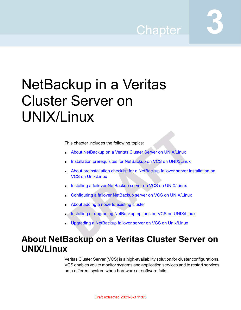## Chapter

# <span id="page-22-0"></span>NetBackup in a Veritas Cluster Server on UNIX/Linux

This chapter includes the following topics:

- About NetBackup on a Veritas Cluster Server on [UNIX/Linux](#page-22-1)
- Installation [prerequisites](#page-23-0) for NetBackup on VCS on UNIX/Linux
- About [preinstallation](#page-24-0) checklist for a NetBackup failover server installation on VCS on [Unix\Linux](#page-24-0)
- Installing a failover NetBackup server on VCS on [UNIX/Linux](#page-26-0)
- [Configuring](#page-27-0) a failover NetBackup server on VCS on UNIX/Linux
- <span id="page-22-1"></span>About adding a node to [existing](#page-28-0) cluster
- Installing or upgrading NetBackup options on VCS on [UNIX/Linux](#page-28-1)
- Upgrading a [NetBackup](#page-29-0) failover server on VCS on Unix/Linux

### **About NetBackup on a Veritas Cluster Server on UNIX/Linux**

Veritas Cluster Server (VCS) is a high-availability solution for cluster configurations. VCS enables you to monitor systems and application services and to restart services on a different system when hardware or software fails.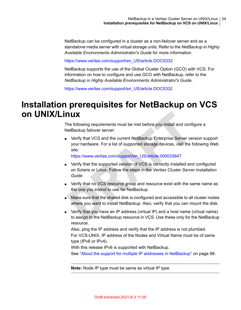NetBackup can be configured in a cluster as a non-failover server and as a standalone media server with virtual storage units. Refer to the *NetBackup in Highly Available Environments Administrator's Guide* for more information.

[https://www.veritas.com/support/en\\_US/article.DOC5332](https://www.veritas.com/support/en_US/article.DOC5332)

NetBackup supports the use of the Global Cluster Option (GCO) with VCS. For information on how to configure and use GCO with NetBackup, refer to the *NetBackup in Highly Available Environments Administrator's Guide*.

<span id="page-23-0"></span>[https://www.veritas.com/support/en\\_US/article.DOC5332](https://www.veritas.com/support/en_US/article.DOC5332)

### **Installation prerequisites for NetBackup on VCS on UNIX/Linux**

The following requirements must be met before you install and configure a NetBackup failover server:

■ Verify that VCS and the current NetBackup Enterprise Server version support your hardware. For a list of supported storage devices, visit the following Web site:

[https://www.veritas.com/support/en\\_US/article.000033647](https://www.veritas.com/support/en_US/article.000033647)

- Verify that the supported version of VCS is correctly installed and configured on Solaris or Linux. Follow the steps in the *Veritas Cluster Server Installation Guide*
- Verify that no VCS resource group and resource exist with the same name as the one you intend to use for NetBackup.
- Make sure that the shared disk is configured and accessible to all cluster nodes where you want to install NetBackup. Also, verify that you can mount the disk.
- Verify that you have an IP address (virtual IP) and a host name (virtual name) to assign to the NetBackup resource in VCS. Use these only for the NetBackup resource.

Also, ping the IP address and verify that the IP address is not plumbed. For VCS-UNIX, IP address of the Nodes and Virtual Name must be of same type (IPv6 or IPv4).

With this release IPv6 is supported with NetBackup.

See "About the support for multiple IP addresses in [NetBackup"](#page-67-0) on page 68.

**Note:** Node IP type must be same as virtual IP type.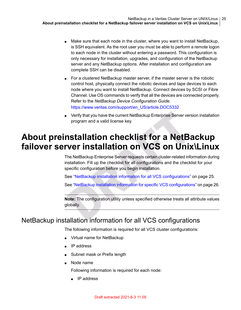- Make sure that each node in the cluster, where you want to install NetBackup, is SSH equivalent. As the root user you must be able to perform a remote logon to each node in the cluster without entering a password. This configuration is only necessary for installation, upgrades, and configuration of the NetBackup server and any NetBackup options. After installation and configuration are complete SSH can be disabled.
- For a clustered NetBackup master server, if the master server is the robotic control host, physically connect the robotic devices and tape devices to each node where you want to install NetBackup. Connect devices by SCSI or Fibre Channel. Use OS commands to verify that all the devices are connected properly. Refer to the *NetBackup Device Configuration Guide*. [https://www.veritas.com/support/en\\_US/article.DOC5332](https://www.veritas.com/support/en_US/article.DOC5332)
- <span id="page-24-0"></span>■ Verify that you have the current NetBackup Enterprise Server version installation program and a valid license key.

## **About preinstallation checklist for a NetBackup failover server installation on VCS on Unix\Linux**

The NetBackup Enterprise Server requests certain cluster-related information during installation. Fill up the checklist for all configurations and the checklist for your specific configuration before you begin installation.

See "NetBackup installation information for all VCS [configurations"](#page-24-1) on page 25.

See "NetBackup installation information for specific VCS [configurations"](#page-25-0) on page 26.

<span id="page-24-1"></span>**Note:** The configuration utility unless specified otherwise treats all attribute values globally.

### NetBackup installation information for all VCS configurations

The following information is required for all VCS cluster configurations:

- Virtual name for NetBackup
- IP address
- Subnet mask or Prefix length
- Node name

Following information is required for each node:

■ IP address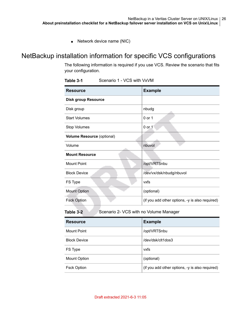<span id="page-25-0"></span>■ Network device name (NIC)

### NetBackup installation information for specific VCS configurations

The following information is required if you use VCS. Review the scenario that fits your configuration.

| <b>Resource</b>                   | <b>Example</b>                                  |
|-----------------------------------|-------------------------------------------------|
| <b>Disk group Resource</b>        |                                                 |
| Disk group                        | nbudg                                           |
| <b>Start Volumes</b>              | 0 or 1                                          |
| Stop Volumes                      | 0 or 1                                          |
| <b>Volume Resource (optional)</b> |                                                 |
| Volume                            | nbuvol                                          |
| <b>Mount Resource</b>             |                                                 |
| <b>Mount Point</b>                | /opt/VRTSnbu                                    |
| <b>Block Device</b>               | /dev/vx/dsk/nbudg/nbuvol                        |
| FS Type                           | vxfs                                            |
| <b>Mount Option</b>               | (optional)                                      |
| <b>Fsck Option</b>                | (if you add other options, -y is also required) |

**Table 3-1** Scenario 1 - VCS with VxVM

**Table 3-2** Scenario 2- VCS with no Volume Manager

| <b>Resource</b>     | <b>Example</b>                                  |
|---------------------|-------------------------------------------------|
| Mount Point         | /opt/VRTSnbu                                    |
| <b>Block Device</b> | /dev/dsk/clt1dos3                               |
| FS Type             | vxfs                                            |
| <b>Mount Option</b> | (optional)                                      |
| <b>Fsck Option</b>  | (if you add other options, -y is also required) |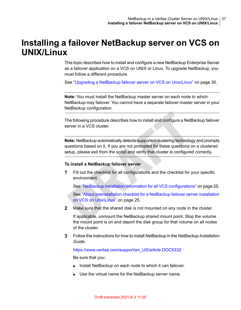### **Installing a failover NetBackup server on VCS on UNIX/Linux**

<span id="page-26-0"></span>This topic describes how to install and configure a new NetBackup Enterprise Server as a failover application on a VCS on UNIX or Linux. To upgrade NetBackup, you must follow a different procedure.

See "Upgrading a NetBackup failover server on VCS on [Unix/Linux"](#page-29-0) on page 30.

**Note:** You must install the NetBackup master server on each node to which NetBackup may failover. You cannot have a separate failover master server in your NetBackup configuration.

The following procedure describes how to install and configure a NetBackup failover server in a VCS cluster.

**Note:** NetBackup automatically detects supported clustering technology and prompts questions based on it. If you are not prompted for these questions on a clustered setup, please exit from the script and verify that cluster is configured correctly.

#### **To install a NetBackup failover server**

**1** Fill out the checklist for all configurations and the checklist for your specific environment.

See "NetBackup installation information for all VCS [configurations"](#page-24-1) on page 25.

See "About [preinstallation](#page-24-0) checklist for a NetBackup failover server installation on VCS on [Unix\Linux"](#page-24-0) on page 25.

**2** Make sure that the shared disk is not mounted on any node in the cluster.

If applicable, unmount the NetBackup shared mount point. Stop the volume the mount point is on and deport the disk group for that volume on all nodes of the cluster.

**3** Follow the instructions for how to install NetBackup in the *NetBackup Installation Guide*.

[https://www.veritas.com/support/en\\_US/article.DOC5332](https://www.veritas.com/support/en_US/article.DOC5332)

Be sure that you:

- Install NetBackup on each node to which it can failover.
- Use the virtual name for the NetBackup server name.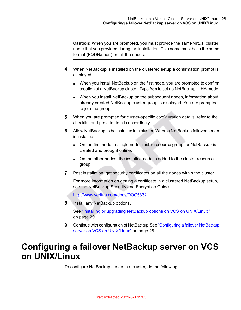**Caution:** When you are prompted, you must provide the same virtual cluster name that you provided during the installation. This name must be in the same format (FQDN/short) on all the nodes.

- **4** When NetBackup is installed on the clustered setup a confirmation prompt is displayed.
	- When you install NetBackup on the first node, you are prompted to confirm creation of a NetBackup cluster. Type **Yes** to set up NetBackup in HA mode.
	- When you install NetBackup on the subsequent nodes, information about already created NetBackup cluster group is displayed. You are prompted to join the group.
- **5** When you are prompted for cluster-specific configuration details, refer to the checklist and provide details accordingly.
- **6** Allow NetBackup to be installed in a cluster. When a NetBackup failover server is installed:
	- On the first node, a single node cluster resource group for NetBackup is created and brought online.
	- On the other nodes, the installed node is added to the cluster resource group.
- **7** Post installation, get security certificates on all the nodes within the cluster.

For more information on getting a certificate in a clustered NetBackup setup, see the NetBackup Security and Encryption Guide.

<http://www.veritas.com/docs/DOC5332>

<span id="page-27-0"></span>**8** Install any NetBackup options.

See "Installing or upgrading NetBackup options on VCS on [UNIX/Linux](#page-28-1)" on page 29.

**9** Continue with configuration of NetBackup.See ["Configuring](#page-27-0) a failover NetBackup server on VCS on [UNIX/Linux"](#page-27-0) on page 28.

### **Configuring a failover NetBackup server on VCS on UNIX/Linux**

To configure NetBackup server in a cluster, do the following: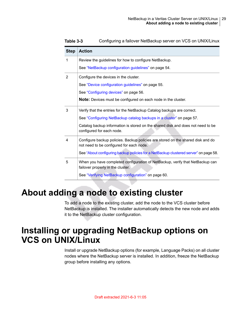| <b>Step</b>    | <b>Action</b>                                                                                                               |
|----------------|-----------------------------------------------------------------------------------------------------------------------------|
| 1              | Review the guidelines for how to configure NetBackup.                                                                       |
|                | See "NetBackup configuration guidelines" on page 54.                                                                        |
| $\overline{2}$ | Configure the devices in the cluster.                                                                                       |
|                | See "Device configuration guidelines" on page 55.                                                                           |
|                | See "Configuring devices" on page 56.                                                                                       |
|                | Note: Devices must be configured on each node in the cluster.                                                               |
| 3              | Verify that the entries for the NetBackup Catalog backups are correct.                                                      |
|                | See "Configuring NetBackup catalog backups in a cluster" on page 57.                                                        |
|                | Catalog backup information is stored on the shared disk and does not need to be<br>configured for each node.                |
| 4              | Configure backup policies. Backup policies are stored on the shared disk and do<br>not need to be configured for each node. |
|                | See "About configuring backup policies for a NetBackup clustered server" on page 58.                                        |
| 5              | When you have completed configuration of NetBackup, verify that NetBackup can<br>failover properly in the cluster.          |
|                | See "Verifying NetBackup configuration" on page 60.                                                                         |

**Table 3-3** Configuring a failover NetBackup server on VCS on UNIX/Linux

### **About adding a node to existing cluster**

<span id="page-28-1"></span><span id="page-28-0"></span>To add a node to the existing cluster, add the node to the VCS cluster before NetBackup is installed. The installer automatically detects the new node and adds it to the NetBackup cluster configuration.

## **Installing or upgrading NetBackup options on VCS on UNIX/Linux**

Install or upgrade NetBackup options (for example, Language Packs) on all cluster nodes where the NetBackup server is installed. In addition, freeze the NetBackup group before installing any options.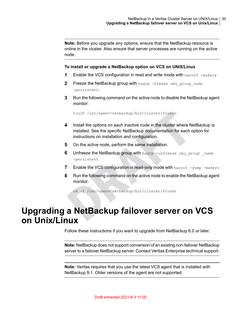**Note:** Before you upgrade any options, ensure that the NetBackup resource is online in the cluster. Also ensure that server processes are running on the active node.

#### **To install or upgrade a NetBackup option on VCS on UNIX/Linux**

- **1** Enable the VCS configuration in read and write mode with haconf -makerw
- **2** Freeze the NetBackup group with hagrp -freeze *nbu\_group\_name* -persistent.
- **3** Run the following command on the active node to disable the NetBackup agent monitor:

touch /usr/openv/netbackup/bin/cluster/frozen

- **4** Install the options on each inactive node in the cluster where NetBackup is installed. See the specific NetBackup documentation for each option for instructions on installation and configuration.
- **5** On the active node, perform the same installation.
- **6** Unfreeze the NetBackup group with hagrp -unfreeze *nbu group name* -persistent
- **7** Enable the VCS configuration in read-only mode with haconf -dump -makero
- <span id="page-29-0"></span>**8** Run the following command on the active node to enable the NetBackup agent monitor:

rm -f /usr/openv/netbackup/bin/cluster/frozen

### **Upgrading a NetBackup failover server on VCS on Unix/Linux**

Follow these instructions if you want to upgrade from NetBackup 6.0 or later.

**Note:** NetBackup does not support conversion of an existing non-failover NetBackup server to a failover NetBackup server. Contact Veritas Enterprise technical support.

**Note:** Veritas requires that you use the latest VCS agent that is installed with NetBackup 9.1. Older versions of the agent are not supported.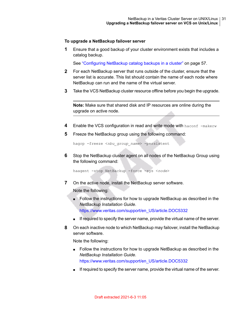#### **To upgrade a NetBackup failover server**

**1** Ensure that a good backup of your cluster environment exists that includes a catalog backup.

See ["Configuring](#page-56-0) NetBackup catalog backups in a cluster" on page 57.

- **2** For each NetBackup server that runs outside of the cluster, ensure that the server list is accurate. This list should contain the name of each node where NetBackup can run and the name of the virtual server.
- **3** Take the VCS NetBackup cluster resource offline before you begin the upgrade.

**Note:** Make sure that shared disk and IP resources are online during the upgrade on active node.

- **4** Enable the VCS configuration in read and write mode with haconf -makerw
- **5** Freeze the NetBackup group using the following command:

hagrp -freeze <*nbu\_group\_name*> -persistent

**6** Stop the NetBackup cluster agent on all nodes of the NetBackup Group using the following command:

haagent -stop NetBackup -force -sys <*node*>

**7** On the active node, install the NetBackup server software.

Note the following:

- Follow the instructions for how to upgrade NetBackup as described in the *NetBackup Installation Guide*. [https://www.veritas.com/support/en\\_US/article.DOC5332](https://www.veritas.com/support/en_US/article.DOC5332)
- If required to specify the server name, provide the virtual name of the server.
- **8** On each inactive node to which NetBackup may failover, install the NetBackup server software.

Note the following:

- Follow the instructions for how to upgrade NetBackup as described in the *NetBackup Installation Guide*. [https://www.veritas.com/support/en\\_US/article.DOC5332](https://www.veritas.com/support/en_US/article.DOC5332)
- If required to specify the server name, provide the virtual name of the server.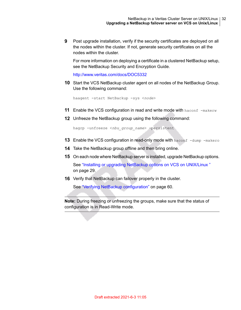**9** Post upgrade installation, verify if the security certificates are deployed on all the nodes within the cluster. If not, generate security certificates on all the nodes within the cluster.

For more information on deploying a certificate in a clustered NetBackup setup, see the NetBackup Security and Encryption Guide.

<http://www.veritas.com/docs/DOC5332>

**10** Start the VCS NetBackup cluster agent on all nodes of the NetBackup Group. Use the following command:

haagent -start NetBackup -sys <*node*>

- **11** Enable the VCS configuration in read and write mode with haconf -makerw
- **12** Unfreeze the NetBackup group using the following command:

hagrp -unfreeze <*nbu\_group\_name*> -persistent

- **13** Enable the VCS configuration in read-only mode with haconf -dump -makero
- **14** Take the NetBackup group offline and then bring online.
- **15** On each node where NetBackup server is installed, upgrade NetBackup options. See "Installing or upgrading NetBackup options on VCS on [UNIX/Linux](#page-28-1) " on page 29.
- **16** Verify that NetBackup can failover properly in the cluster.

See "Verifying NetBackup [configuration"](#page-59-0) on page 60.

**Note:** During freezing or unfreezing the groups, make sure that the status of configuration is in Read-Write mode.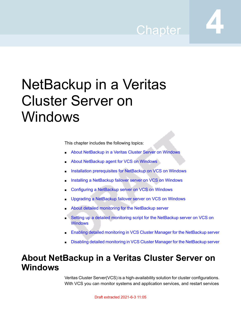## Chapter

# <span id="page-32-0"></span>NetBackup in a Veritas Cluster Server on Windows

This chapter includes the following topics:

- About [NetBackup](#page-32-1) in a Veritas Cluster Server on Windows
- About [NetBackup](#page-33-0) agent for VCS on Windows
- Installation [prerequisites](#page-34-0) for NetBackup on VCS on Windows
- Installing a [NetBackup](#page-35-0) failover server on VCS on Windows
- [Configuring](#page-36-0) a NetBackup server on VCS on Windows
- Upgrading a [NetBackup](#page-37-0) failover server on VCS on Windows
- About detailed monitoring for the [NetBackup](#page-39-0) server
- <span id="page-32-1"></span>Setting up a detailed monitoring script for the [NetBackup](#page-39-1) server on VCS on **[Windows](#page-39-1)**
- Enabling detailed monitoring in VCS Cluster Manager for the [NetBackup](#page-40-0) server
- Disabling detailed monitoring in VCS Cluster Manager for the [NetBackup](#page-41-0) server

### **About NetBackup in a Veritas Cluster Server on Windows**

Veritas Cluster Server(VCS) is a high-availability solution for cluster configurations. With VCS you can monitor systems and application services, and restart services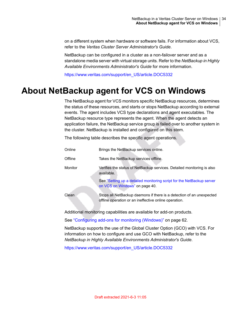on a different system when hardware or software fails. For information about VCS, refer to the *Veritas Cluster Server Administrator's Guide*.

NetBackup can be configured in a cluster as a non-failover server and as a standalone media server with virtual storage units. Refer to the *NetBackup in Highly Available Environments Administrator's Guide* for more information.

<span id="page-33-0"></span>[https://www.veritas.com/support/en\\_US/article.DOC5332](https://www.veritas.com/support/en_US/article.DOC5332)

### **About NetBackup agent for VCS on Windows**

The NetBackup agent for VCS monitors specific NetBackup resources, determines the status of these resources, and starts or stops NetBackup according to external events. The agent includes VCS type declarations and agent executables. The NetBackup resource type represents the agent. When the agent detects an application failure, the NetBackup service group is failed over to another system in the cluster. NetBackup is installed and configured on this stem.

The following table describes the specific agent operations.

| Online  | Brings the NetBackup services online.                                                                                         |
|---------|-------------------------------------------------------------------------------------------------------------------------------|
| Offline | Takes the NetBackup services offline.                                                                                         |
| Monitor | Verifies the status of NetBackup services. Detailed monitoring is also<br>available.                                          |
|         | See "Setting up a detailed monitoring script for the NetBackup server<br>on VCS on Windows" on page 40.                       |
| Clean   | Stops all NetBackup daemons if there is a detection of an unexpected<br>offline operation or an ineffective online operation. |

Additional monitoring capabilities are available for add-on products.

See ["Configuring](#page-61-1) add-ons for monitoring (Windows)" on page 62.

NetBackup supports the use of the Global Cluster Option (GCO) with VCS. For information on how to configure and use GCO with NetBackup, refer to the *NetBackup in Highly Available Environments Administrator's Guide*.

[https://www.veritas.com/support/en\\_US/article.DOC5332](https://www.veritas.com/support/en_US/article.DOC5332)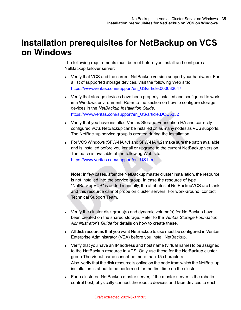### **Installation prerequisites for NetBackup on VCS on Windows**

<span id="page-34-0"></span>The following requirements must be met before you install and configure a NetBackup failover server:

- Verify that VCS and the current NetBackup version support your hardware. For a list of supported storage devices, visit the following Web site: [https://www.veritas.com/support/en\\_US/article.000033647](https://www.veritas.com/support/en_US/article.000033647)
- Verify that storage devices have been properly installed and configured to work in a Windows environment. Refer to the section on how to configure storage devices in the *NetBackup Installation Guide*. [https://www.veritas.com/support/en\\_US/article.DOC5332](https://www.veritas.com/support/en_US/article.DOC5332)
- Verify that you have installed Veritas Storage Foundation HA and correctly configured VCS. NetBackup can be installed on as many nodes as VCS supports. The NetBackup service group is created during the installation.
- For VCS Windows (SFW-HA 4.1 and SFW-HA 4.2) make sure the patch available and is installed before you install or upgrade to the current NetBackup version. The patch is available at the following Web site: [https://www.veritas.com/support/en\\_US.html.](http://entsupport.symantec.com/docs/278307)

**Note:** In few cases, after the NetBackup master cluster installation, the resource is not installed into the service group. In case the resource of type "NetBackupVCS" is added manually, the attributes of NetBackupVCS are blank and this resource cannot probe on cluster servers. For work-around, contact Technical Support Team.

- Verify the cluster disk group(s) and dynamic volume(s) for NetBackup have been created on the shared storage. Refer to the *Veritas Storage Foundation Administrator's Guide* for details on how to create these.
- All disk resources that you want NetBackup to use must be configured in Veritas Enterprise Administrator (VEA) before you install NetBackup.
- Verify that you have an IP address and host name (virtual name) to be assigned to the NetBackup resource in VCS. Only use these for the NetBackup cluster group.The virtual name cannot be more than 15 characters. Also, verify that the disk resource is online on the node from which the NetBackup installation is about to be performed for the first time on the cluster.
- For a clustered NetBackup master server, if the master server is the robotic control host, physically connect the robotic devices and tape devices to each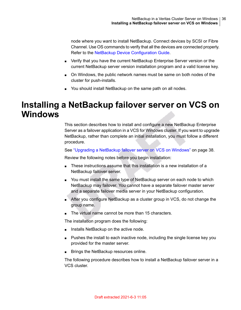node where you want to install NetBackup. Connect devices by SCSI or Fibre Channel. Use OS commands to verify that all the devices are connected properly. Refer to the NetBackup Device [Configuration](http://www.symantec.com/business/support/index?page=content&id=DOC5332) Guide.

- Verify that you have the current NetBackup Enterprise Server version or the current NetBackup server version installation program and a valid license key.
- On Windows, the public network names must be same on both nodes of the cluster for push-installs.
- <span id="page-35-0"></span>■ You should install NetBackup on the same path on all nodes.

### **Installing a NetBackup failover server on VCS on Windows**

This section describes how to install and configure a new NetBackup Enterprise Server as a failover application in a VCS for Windows cluster. If you want to upgrade NetBackup, rather than complete an initial installation, you must follow a different procedure.

See ["Upgrading](#page-37-0) a NetBackup failover server on VCS on Windows" on page 38.

Review the following notes before you begin installation:

- These instructions assume that this installation is a new installation of a NetBackup failover server.
- You must install the same type of NetBackup server on each node to which NetBackup may failover. You cannot have a separate failover master server and a separate failover media server in your NetBackup configuration.
- After you configure NetBackup as a cluster group in VCS, do not change the group name.
- The virtual name cannot be more than 15 characters.

The installation program does the following:

- Installs NetBackup on the active node.
- Pushes the install to each inactive node, including the single license key you provided for the master server.
- Brings the NetBackup resources online.

The following procedure describes how to install a NetBackup failover server in a VCS cluster.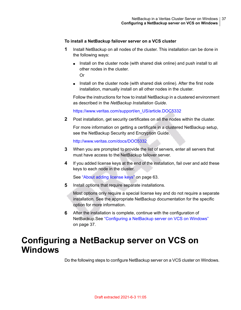#### **To install a NetBackup failover server on a VCS cluster**

- **1** Install NetBackup on all nodes of the cluster. This installation can be done in the following ways:
	- Install on the cluster node (with shared disk online) and push install to all other nodes in the cluster. Or

■ Install on the cluster node (with shared disk online). After the first node installation, manually install on all other nodes in the cluster.

Follow the instructions for how to install NetBackup in a clustered environment as described in the *NetBackup Installation Guide*.

[https://www.veritas.com/support/en\\_US/article.DOC5332](https://www.veritas.com/support/en_US/article.DOC5332)

**2** Post installation, get security certificates on all the nodes within the cluster.

For more information on getting a certificate in a clustered NetBackup setup, see the NetBackup Security and Encryption Guide.

<http://www.veritas.com/docs/DOC5332>

- **3** When you are prompted to provide the list of servers, enter all servers that must have access to the NetBackup failover server.
- **4** If you added license keys at the end of the installation, fail over and add these keys to each node in the cluster.

See "About adding [license](#page-62-0) keys" on page 63.

**5** Install options that require separate installations.

Most options only require a special license key and do not require a separate installation. See the appropriate NetBackup documentation for the specific option for more information.

<span id="page-36-0"></span>**6** After the installation is complete, continue with the configuration of NetBackup.See ["Configuring](#page-36-0) a NetBackup server on VCS on Windows" on page 37.

#### **Configuring a NetBackup server on VCS on Windows**

Do the following steps to configure NetBackup server on a VCS cluster on Windows.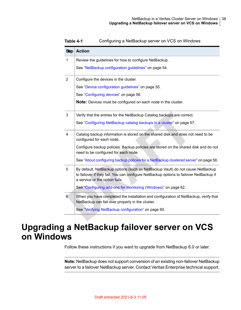| <b>Step</b>    | <b>Action</b>                                                                                                                                                                                              |
|----------------|------------------------------------------------------------------------------------------------------------------------------------------------------------------------------------------------------------|
| 1              | Review the guidelines for how to configure NetBackup.                                                                                                                                                      |
|                | See "NetBackup configuration guidelines" on page 54.                                                                                                                                                       |
| $\overline{2}$ | Configure the devices in the cluster.                                                                                                                                                                      |
|                | See "Device configuration quidelines" on page 55.                                                                                                                                                          |
|                | See "Configuring devices" on page 56.                                                                                                                                                                      |
|                | <b>Note:</b> Devices must be configured on each node in the cluster.                                                                                                                                       |
| 3              | Verify that the entries for the NetBackup Catalog backups are correct.                                                                                                                                     |
|                | See "Configuring NetBackup catalog backups in a cluster" on page 57.                                                                                                                                       |
| $\overline{4}$ | Catalog backup information is stored on the shared disk and does not need to be<br>configured for each node.                                                                                               |
|                | Configure backup policies. Backup policies are stored on the shared disk and do not<br>need to be configured for each node.                                                                                |
|                | See "About configuring backup policies for a NetBackup clustered server" on page 58.                                                                                                                       |
| 5              | By default, NetBackup options (such as NetBackup Vault) do not cause NetBackup<br>to failover if they fail. You can configure NetBackup options to failover NetBackup if<br>a service or the option fails. |
|                | See "Configuring add-ons for monitoring (Windows)" on page 62.                                                                                                                                             |
| 6              | When you have completed the installation and configuration of NetBackup, verify that<br>NetBackup can fail over properly in the cluster.                                                                   |
|                | See "Verifying NetBackup configuration" on page 60.                                                                                                                                                        |

**Table 4-1** Configuring a NetBackup server on VCS on Windows

## **Upgrading a NetBackup failover server on VCS on Windows**

Follow these instructions if you want to upgrade from NetBackup 6.0 or later.

**Note:** NetBackup does not support conversion of an existing non-failover NetBackup server to a failover NetBackup server. Contact Veritas Enterprise technical support.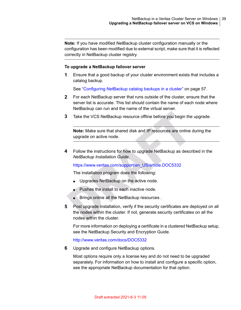**Note:** If you have modified NetBackup cluster configuration manually or the configuration has been modified due to external script, make sure that it is reflected correctly in NetBackup cluster registry.

#### **To upgrade a NetBackup failover server**

**1** Ensure that a good backup of your cluster environment exists that includes a catalog backup.

See ["Configuring](#page-56-0) NetBackup catalog backups in a cluster" on page 57.

- **2** For each NetBackup server that runs outside of the cluster, ensure that the server list is accurate. This list should contain the name of each node where NetBackup can run and the name of the virtual server.
- **3** Take the VCS NetBackup resource offline before you begin the upgrade.

**Note:** Make sure that shared disk and IP resources are online during the upgrade on active node.

**4** Follow the instructions for how to upgrade NetBackup as described in the *NetBackup Installation Guide*.

[https://www.veritas.com/support/en\\_US/article.DOC5332](https://www.veritas.com/support/en_US/article.DOC5332)

The installation program does the following:

- Upgrades NetBackup on the active node.
- Pushes the install to each inactive node.
- Brings online all the NetBackup resources .
- **5** Post upgrade installation, verify if the security certificates are deployed on all the nodes within the cluster. If not, generate security certificates on all the nodes within the cluster.

For more information on deploying a certificate in a clustered NetBackup setup, see the NetBackup Security and Encryption Guide.

<http://www.veritas.com/docs/DOC5332>

**6** Upgrade and configure NetBackup options.

Most options require only a license key and do not need to be upgraded separately. For information on how to install and configure a specific option, see the appropriate NetBackup documentation for that option.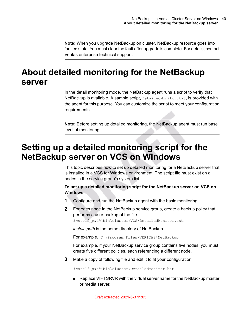<span id="page-39-0"></span>**Note:** When you upgrade NetBackup on cluster, NetBackup resource goes into faulted state. You must clear the fault after upgrade is complete. For details, contact Veritas enterprise technical support.

### **About detailed monitoring for the NetBackup server**

In the detail monitoring mode, the NetBackup agent runs a script to verify that NetBackup is available. A sample script, DetailedMonitor.bat, is provided with the agent for this purpose. You can customize the script to meet your configuration requirements.

**Note:** Before setting up detailed monitoring, the NetBackup agent must run base level of monitoring.

### **Setting up a detailed monitoring script for the NetBackup server on VCS on Windows**

This topic describes how to set up detailed monitoring for a NetBackup server that is installed in a VCS for Windows environment. The script file must exist on all nodes in the service group's system list.

#### **To set up a detailed monitoring script for the NetBackup server on VCS on Windows**

- **1** Configure and run the NetBackup agent with the basic monitoring.
- **2** For each node in the NetBackup service group, create a backup policy that performs a user backup of the file

*install\_path*\bin\cluster\VCS\DetailedMonitor.txt.

*install\_path* is the home directory of NetBackup.

For example, C:\Program Files\VERITAS\NetBackup

For example, if your NetBackup service group contains five nodes, you must create five different policies, each referencing a different node.

**3** Make a copy of following file and edit it to fit your configuration.

*install\_path*\bin\cluster\DetailedMonitor.bat

■ Replace VIRTSRVR with the virtual server name for the NetBackup master or media server.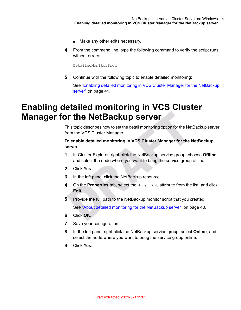- Make any other edits necessary.
- **4** From the command line, type the following command to verify the script runs without errors:

DetailedMonitorProd

<span id="page-40-0"></span>**5** Continue with the following topic to enable detailed monitoring:

See "Enabling detailed monitoring in VCS Cluster Manager for the [NetBackup](#page-40-0) [server"](#page-40-0) on page 41.

### **Enabling detailed monitoring in VCS Cluster Manager for the NetBackup server**

This topic describes how to set the detail monitoring option for the NetBackup server from the VCS Cluster Manager.

#### **To enable detailed monitoring in VCS Cluster Manager for the NetBackup server**

- **1** In Cluster Explorer, right-click the NetBackup service group, choose **Offline**, and select the node where you want to bring the service group offline.
- **2** Click **Yes**.
- **3** In the left pane, click the NetBackup resource.
- **4** On the **Properties** tab, select the Monscript attribute from the list, and click **Edit**.
- **5** Provide the full path to the NetBackup monitor script that you created.

See "About detailed monitoring for the [NetBackup](#page-39-0) server" on page 40.

- **6** Click **OK**.
- **7** Save your configuration.
- **8** In the left pane, right-click the NetBackup service group, select **Online**, and select the node where you want to bring the service group online.
- **9** Click **Yes**.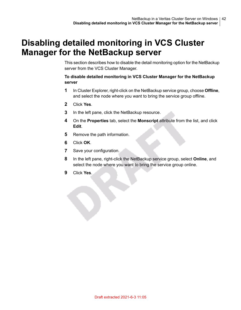### **Disabling detailed monitoring in VCS Cluster Manager for the NetBackup server**

This section describes how to disable the detail monitoring option for the NetBackup server from the VCS Cluster Manager.

#### **To disable detailed monitoring in VCS Cluster Manager for the NetBackup server**

- **1** In Cluster Explorer, right-click on the NetBackup service group, choose **Offline**, and select the node where you want to bring the service group offline.
- **2** Click **Yes**.
- **3** In the left pane, click the NetBackup resource.
- **4** On the **Properties** tab, select the **Monscript** attribute from the list, and click **Edit**.
- **5** Remove the path information.
- **6** Click **OK**.
- **7** Save your configuration.
- **8** In the left pane, right-click the NetBackup service group, select **Online**, and select the node where you want to bring the service group online.
- **9** Click **Yes**.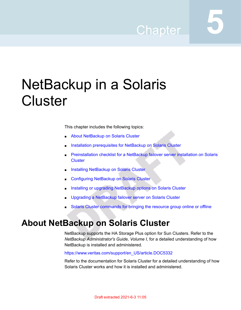## Chapter

## NetBackup in a Solaris **Cluster**

This chapter includes the following topics:

- **About [NetBackup](#page-42-0) on Solaris Cluster**
- Installation [prerequisites](#page-43-0) for NetBackup on Solaris Cluster
- **[Preinstallation](#page-44-0) checklist for a NetBackup failover server installation on Solaris [Cluster](#page-44-0)**
- Installing [NetBackup](#page-45-0) on Solaris Cluster
- [Configuring](#page-47-0) NetBackup on Solaris Cluster
- <span id="page-42-0"></span>Installing or upgrading [NetBackup](#page-47-1) options on Solaris Cluster
- Upgrading a [NetBackup](#page-48-0) failover server on Solaris Cluster
- Solaris Cluster [commands](#page-50-0) for bringing the resource group online or offline

#### **About NetBackup on Solaris Cluster**

NetBackup supports the HA Storage Plus option for Sun Clusters. Refer to the *NetBackup Administrator's Guide, Volume I*, for a detailed understanding of how NetBackup is installed and administered.

[https://www.veritas.com/support/en\\_US/article.DOC5332](https://www.veritas.com/support/en_US/article.DOC5332)

Refer to the documentation for Solaris Cluster for a detailed understanding of how Solaris Cluster works and how it is installed and administered.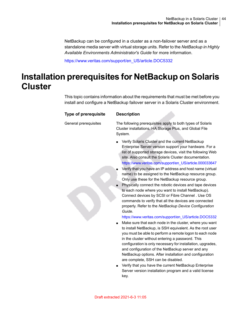NetBackup can be configured in a cluster as a non-failover server and as a standalone media server with virtual storage units. Refer to the *NetBackup in Highly Available Environments Administrator's Guide* for more information.

<span id="page-43-0"></span>[https://www.veritas.com/support/en\\_US/article.DOC5332](https://www.veritas.com/support/en_US/article.DOC5332)

## **Installation prerequisites for NetBackup on Solaris Cluster**

This topic contains information about the requirements that must be met before you install and configure a NetBackup failover server in a Solaris Cluster environment.

#### **Type of prerequisite Description**

General prerequisites

The following prerequisites apply to both types of Solaris Cluster installations, HA Storage Plus, and Global File System.

- Verify Solaris Cluster and the current NetBackup Enterprise Server version support your hardware. For a list of supported storage devices, visit the following Web site. Also consult the Solaris Cluster documentation. [https://www.veritas.com/support/en\\_US/article.000033647](https://www.veritas.com/support/en_US/article.000033647)
- Verify that you have an IP address and host name (virtual name) to be assigned to the NetBackup resource group. Only use these for the NetBackup resource group.
- Physically connect the robotic devices and tape devices to each node where you want to install NetBackup). Connect devices by SCSI or Fibre Channel . Use OS commands to verify that all the devices are connected properly. Refer to the *NetBackup Device Configuration Guide*.

[https://www.veritas.com/support/en\\_US/article.DOC5332](https://www.veritas.com/support/en_US/article.DOC5332)

- Make sure that each node in the cluster, where you want to install NetBackup, is SSH equivalent. As the root user you must be able to perform a remote logon to each node in the cluster without entering a password. This configuration is only necessary for installation, upgrades, and configuration of the NetBackup server and any NetBackup options. After installation and configuration are complete, SSH can be disabled.
- Verify that you have the current NetBackup Enterprise Server version installation program and a valid license key.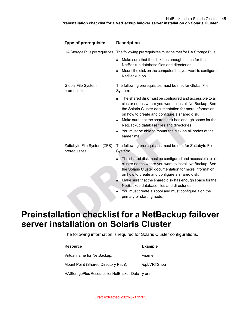| <b>Type of prerequisite</b>                  | <b>Description</b>                                                                                                                                                                                                                                                                                                                                                                                                                           |
|----------------------------------------------|----------------------------------------------------------------------------------------------------------------------------------------------------------------------------------------------------------------------------------------------------------------------------------------------------------------------------------------------------------------------------------------------------------------------------------------------|
|                                              | HA Storage Plus prerequisites The following prerequisites must be met for HA Storage Plus:                                                                                                                                                                                                                                                                                                                                                   |
|                                              | Make sure that the disk has enough space for the<br>$\blacksquare$<br>NetBackup database files and directories.<br>Mount the disk on the computer that you want to configure<br>$\blacksquare$<br>NetBackup on.                                                                                                                                                                                                                              |
| Global File System<br>prerequisites          | The following prerequisites must be met for Global File<br>System:                                                                                                                                                                                                                                                                                                                                                                           |
|                                              | The shared disk must be configured and accessible to all<br>cluster nodes where you want to install NetBackup. See<br>the Solaris Cluster documentation for more information<br>on how to create and configure a shared disk.<br>Make sure that the shared disk has enough space for the<br>NetBackup database files and directories.<br>You must be able to mount the disk on all nodes at the<br>same time.                                |
| Zettabyte File System (ZFS)<br>prerequisites | The following prerequisites must be met for Zettabyte File<br>System:                                                                                                                                                                                                                                                                                                                                                                        |
|                                              | The shared disk must be configured and accessible to all<br>cluster nodes where you want to install NetBackup. See<br>the Solaris Cluster documentation for more information<br>on how to create and configure a shared disk.<br>Make sure that the shared disk has enough space for the<br>NetBackup database files and directories.<br>You must create a zpool and must configure it on the<br>$\blacksquare$<br>primary or starting node. |

### <span id="page-44-0"></span>**Preinstallation checklist for a NetBackup failover server installation on Solaris Cluster**

The following information is required for Solaris Cluster configurations.

| <b>Resource</b>                                  | <b>Example</b> |
|--------------------------------------------------|----------------|
| Virtual name for NetBackup:                      | vname          |
| Mount Point (Shared Directory Path):             | /opt/VRTSnbu   |
| HAStoragePlus Resource for NetBackup Data y or n |                |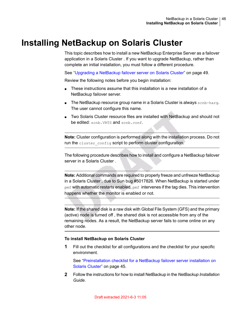### **Installing NetBackup on Solaris Cluster**

<span id="page-45-0"></span>This topic describes how to install a new NetBackup Enterprise Server as a failover application in a Solaris Cluster . If you want to upgrade NetBackup, rather than complete an initial installation, you must follow a different procedure.

See ["Upgrading](#page-48-0) a NetBackup failover server on Solaris Cluster" on page 49.

Review the following notes before you begin installation:

- These instructions assume that this installation is a new installation of a NetBackup failover server.
- The NetBackup resource group name in a Solaris Cluster is always scnb-harg. The user cannot configure this name.
- Two Solaris Cluster resource files are installed with NetBackup and should not be edited: scnb. VRTS and scnb.conf.

**Note:** Cluster configuration is performed along with the installation process. Do not run the cluster config script to perform cluster configuration.

The following procedure describes how to install and configure a NetBackup failover server in a Solaris Cluster .

**Note:** Additional commands are required to properly freeze and unfreeze NetBackup in a Solaris Cluster , due to Sun bug #5017826. When NetBackup is started under  $p$ mf with automatic restarts enabled,  $p$ mf intervenes if the tag dies. This intervention happens whether the monitor is enabled or not.

**Note:** If the shared disk is a raw disk with Global File System (GFS) and the primary (active) node is turned off , the shared disk is not accessible from any of the remaining nodes. As a result, the NetBackup server fails to come online on any other node.

#### **To install NetBackup on Solaris Cluster**

**1** Fill out the checklist for all configurations and the checklist for your specific environment.

See ["Preinstallation](#page-44-0) checklist for a NetBackup failover server installation on Solaris [Cluster"](#page-44-0) on page 45.

**2** Follow the instructions for how to install NetBackup in the *NetBackup Installation Guide*.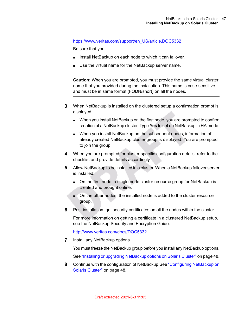#### [https://www.veritas.com/support/en\\_US/article.DOC5332](https://www.veritas.com/support/en_US/article.DOC5332)

Be sure that you:

- Install NetBackup on each node to which it can failover.
- Use the virtual name for the NetBackup server name.

**Caution:** When you are prompted, you must provide the same virtual cluster name that you provided during the installation. This name is case-sensitive and must be in same format (FQDN/short) on all the nodes.

- **3** When NetBackup is installed on the clustered setup a confirmation prompt is displayed.
	- When you install NetBackup on the first node, you are prompted to confirm creation of a NetBackup cluster. Type **Yes** to set up NetBackup in HA mode.
	- When you install NetBackup on the subsequent nodes, information of already created NetBackup cluster group is displayed. You are prompted to join the group.
- **4** When you are prompted for cluster-specific configuration details, refer to the checklist and provide details accordingly.
- **5** Allow NetBackup to be installed in a cluster. When a NetBackup failover server is installed:
	- On the first node, a single node cluster resource group for NetBackup is created and brought online.
	- On the other nodes, the installed node is added to the cluster resource group.
- **6** Post installation, get security certificates on all the nodes within the cluster.

For more information on getting a certificate in a clustered NetBackup setup, see the NetBackup Security and Encryption Guide.

<http://www.veritas.com/docs/DOC5332>

**7** Install any NetBackup options.

You must freeze the NetBackup group before you install any NetBackup options.

See "Installing or upgrading [NetBackup](#page-47-1) options on Solaris Cluster" on page 48.

**8** Continue with the configuration of NetBackup.See ["Configuring](#page-47-0) NetBackup on Solaris [Cluster"](#page-47-0) on page 48.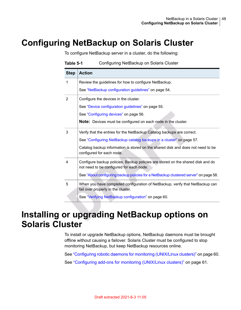## **Configuring NetBackup on Solaris Cluster**

<span id="page-47-0"></span>To configure NetBackup server in a cluster, do the following:

| <b>Step</b>    | <b>Action</b>                                                                                                               |
|----------------|-----------------------------------------------------------------------------------------------------------------------------|
| 1              | Review the guidelines for how to configure NetBackup.                                                                       |
|                | See "NetBackup configuration guidelines" on page 54.                                                                        |
| $\overline{2}$ | Configure the devices in the cluster.                                                                                       |
|                | See "Device configuration guidelines" on page 55.                                                                           |
|                | See "Configuring devices" on page 56.                                                                                       |
|                | <b>Note:</b> Devices must be configured on each node in the cluster.                                                        |
| 3              | Verify that the entries for the NetBackup Catalog backups are correct.                                                      |
|                | See "Configuring NetBackup catalog backups in a cluster" on page 57.                                                        |
|                | Catalog backup information is stored on the shared disk and does not need to be<br>configured for each node.                |
| 4              | Configure backup policies. Backup policies are stored on the shared disk and do<br>not need to be configured for each node. |
|                | See "About configuring backup policies for a NetBackup clustered server" on page 58.                                        |
| 5              | When you have completed configuration of NetBackup, verify that NetBackup can<br>fail over properly in the cluster.         |
|                | See "Verifying NetBackup configuration" on page 60.                                                                         |

#### **Table 5-1** Configuring NetBackup on Solaris Cluster

### <span id="page-47-1"></span>**Installing or upgrading NetBackup options on Solaris Cluster**

To install or upgrade NetBackup options, NetBackup daemons must be brought offline without causing a failover. Solaris Cluster must be configured to stop monitoring NetBackup, but keep NetBackup resources online.

See ["Configuring](#page-59-1) robotic daemons for monitoring (UNIX/Linux clusters)" on page 60. See ["Configuring](#page-60-0) add-ons for monitoring (UNIX/Linux clusters)" on page 61.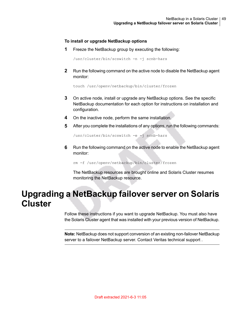#### **To install or upgrade NetBackup options**

**1** Freeze the NetBackup group by executing the following:

/usr/cluster/bin/scswitch -n -j scnb-hars

**2** Run the following command on the active node to disable the NetBackup agent monitor:

touch /usr/openv/netbackup/bin/cluster/frozen

- **3** On active node, install or upgrade any NetBackup options. See the specific NetBackup documentation for each option for instructions on installation and configuration.
- **4** On the inactive node, perform the same installation.
- **5** After you complete the installations of any options, run the following commands:

/usr/cluster/bin/scswitch -e -j scnb-hars

**6** Run the following command on the active node to enable the NetBackup agent monitor:

<span id="page-48-0"></span>rm -f /usr/openv/netbackup/bin/cluster/frozen

The NetBackup resources are brought online and Solaris Cluster resumes monitoring the NetBackup resource.

### **Upgrading a NetBackup failover server on Solaris Cluster**

Follow these instructions if you want to upgrade NetBackup. You must also have the Solaris Cluster agent that was installed with your previous version of NetBackup.

**Note:** NetBackup does not support conversion of an existing non-failover NetBackup server to a failover NetBackup server. Contact Veritas technical support .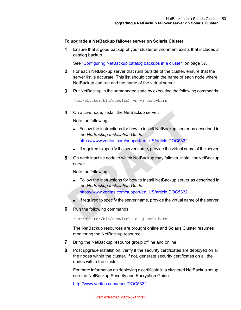#### **To upgrade a NetBackup failover server on Solaris Cluster**

**1** Ensure that a good backup of your cluster environment exists that includes a catalog backup.

See ["Configuring](#page-56-0) NetBackup catalog backups in a cluster" on page 57.

- **2** For each NetBackup server that runs outside of the cluster, ensure that the server list is accurate. This list should contain the name of each node where NetBackup can run and the name of the virtual server.
- **3** Put NetBackup in the unmanaged state by executing the following commands:

/usr/cluster/bin/scswitch -n -j scnb-hars

**4** On active node, install the NetBackup server.

Note the following:

- Follow the instructions for how to install NetBackup server as described in the *NetBackup Installation Guide*. [https://www.veritas.com/support/en\\_US/article.DOC5332](https://www.veritas.com/support/en_US/article.DOC5332)
- If required to specify the server name, provide the virtual name of the server.
- **5** On each inactive node to which NetBackup may failover, install theNetBackup server.

Note the following:

- Follow the instructions for how to install NetBackup server as described in the *NetBackup Installation Guide*. [https://www.veritas.com/support/en\\_US/article.DOC5332](https://www.veritas.com/support/en_US/article.DOC5332)
- If required to specify the server name, provide the virtual name of the server.
- **6** Run the following commands:

/usr/cluster/bin/scswitch -e -j scnb-hars

The NetBackup resources are brought online and Solaris Cluster resumes monitoring the NetBackup resource.

- **7** Bring the NetBackup resource group offline and online.
- **8** Post upgrade installation, verify if the security certificates are deployed on all the nodes within the cluster. If not, generate security certificates on all the nodes within the cluster.

For more information on deploying a certificate in a clustered NetBackup setup, see the NetBackup Security and Encryption Guide.

<http://www.veritas.com/docs/DOC5332>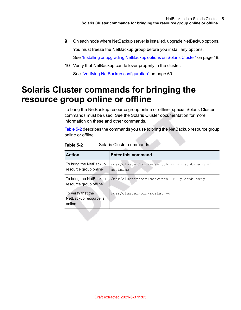- **9** On each node where NetBackup server is installed, upgrade NetBackup options. You must freeze the NetBackup group before you install any options. See "Installing or upgrading [NetBackup](#page-47-1) options on Solaris Cluster" on page 48.
- <span id="page-50-0"></span>**10** Verify that NetBackup can failover properly in the cluster. See "Verifying NetBackup [configuration"](#page-59-0) on page 60.

### **Solaris Cluster commands for bringing the resource group online or offline**

To bring the NetBackup resource group online or offline, special Solaris Cluster commands must be used. See the Solaris Cluster documentation for more information on these and other commands.

<span id="page-50-1"></span>[Table](#page-50-1) 5-2 describes the commands you use to bring the NetBackup resource group online or offline.

| <b>Action</b>                                         | <b>Enter this command</b>                                |
|-------------------------------------------------------|----------------------------------------------------------|
| To bring the NetBackup<br>resource group online       | /usr/cluster/bin/scswitch -z -q scnb-harq -h<br>hostname |
| To bring the NetBackup<br>resource group offline      | /usr/cluster/bin/scswitch -F -q scnb-harq                |
| To verify that the<br>NetBackup resource is<br>online | /usr/cluster/bin/scstat -q                               |

**Table 5-2** Solaris Cluster commands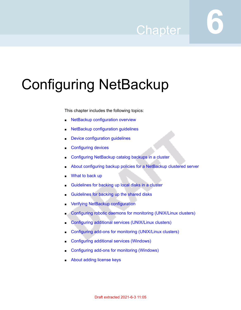## **Chapter**

# Configuring NetBackup

This chapter includes the following topics:

- NetBackup [configuration](#page-52-0) overview
- NetBackup [configuration](#page-53-0) guidelines
- Device [configuration](#page-54-0) guidelines
- [Configuring](#page-55-0) devices
- [Configuring](#page-56-0) NetBackup catalog backups in a cluster
- About [configuring](#page-57-0) backup policies for a NetBackup clustered server
- [What](#page-57-1) to back up
- [Guidelines](#page-57-2) for backing up local disks in a cluster
- [Guidelines](#page-58-0) for backing up the shared disks
- **Verifying NetBackup [configuration](#page-59-0)**
- Configuring robotic daemons for monitoring [\(UNIX/Linux](#page-59-1) clusters)
- Configuring additional services [\(UNIX/Linux](#page-60-1) clusters)
- Configuring add-ons for monitoring [\(UNIX/Linux](#page-60-0) clusters)
- [Configuring](#page-61-1) additional services (Windows)
- [Configuring](#page-61-0) add-ons for monitoring (Windows)
- About adding [license](#page-62-0) keys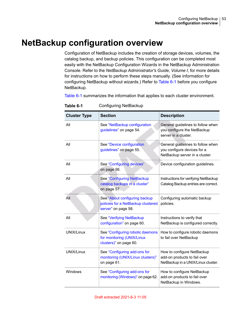### **NetBackup configuration overview**

<span id="page-52-0"></span>Configuration of NetBackup includes the creation of storage devices, volumes, the catalog backup, and backup policies. This configuration can be completed most easily with the NetBackup Configuration Wizards in the NetBackup Administration Console. Refer to the *NetBackup Administrator's Guide, Volume I*, for more details for instructions on how to perform these steps manually. (See information for configuring NetBackup without wizards.) Refer to [Table](#page-52-1) 6-1 before you configure NetBackup.

<span id="page-52-1"></span>[Table](#page-52-1) 6-1 summarizes the information that applies to each cluster environment.

| <b>Cluster Type</b> | <b>Section</b>                                                                             | <b>Description</b>                                                                                 |
|---------------------|--------------------------------------------------------------------------------------------|----------------------------------------------------------------------------------------------------|
| All                 | See "NetBackup configuration"<br>guidelines" on page 54.                                   | General guidelines to follow when<br>you configure the NetBackup<br>server in a cluster.           |
| All                 | See "Device configuration<br>guidelines" on page 55.                                       | General guidelines to follow when<br>you configure devices for a<br>NetBackup server in a cluster. |
| All                 | See "Configuring devices"<br>on page 56.                                                   | Device configuration guidelines.                                                                   |
| All                 | See "Configuring NetBackup<br>catalog backups in a cluster"<br>on page 57.                 | Instructions for verifying NetBackup<br>Catalog Backup entries are correct.                        |
| All                 | See "About configuring backup<br>policies for a NetBackup clustered<br>server" on page 58. | Configuring automatic backup<br>policies.                                                          |
| All                 | See "Verifying NetBackup<br>configuration" on page 60.                                     | Instructions to verify that<br>NetBackup is configured correctly.                                  |
| UNIX/Linux          | See "Configuring robotic daemons<br>for monitoring (UNIX/Linux<br>clusters)" on page 60.   | How to configure robotic daemons<br>to fail over NetBackup                                         |
| UNIX/Linux          | See "Configuring add-ons for<br>monitoring (UNIX/Linux clusters)"<br>on page 61.           | How to configure NetBackup<br>add-on products to fail over<br>NetBackup in a UNIX/Linux cluster.   |
| Windows             | See "Configuring add-ons for<br>monitoring (Windows)" on page 62.                          | How to configure NetBackup<br>add-on products to fail over<br>NetBackup in Windows.                |

**Table 6-1** Configuring NetBackup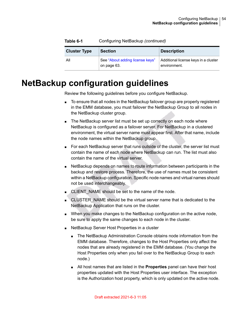<span id="page-53-0"></span>

| <b>Cluster Type</b> | <b>Section</b>                                 | <b>Description</b>                                   |
|---------------------|------------------------------------------------|------------------------------------------------------|
| All                 | See "About adding license keys"<br>on page 63. | Additional license keys in a cluster<br>environment. |

**Table 6-1** Configuring NetBackup *(continued)*

### **NetBackup configuration guidelines**

Review the following guidelines before you configure NetBackup.

- To ensure that all nodes in the NetBackup failover group are properly registered in the EMM database, you must failover the NetBackup Group to all nodes in the NetBackup cluster group.
- The NetBackup server list must be set up correctly on each node where NetBackup is configured as a failover server. For NetBackup in a clustered environment, the virtual server name must appear first. After that name, include the node names within the NetBackup group.
- For each NetBackup server that runs outside of the cluster, the server list must contain the name of each node where NetBackup can run. The list must also contain the name of the virtual server.
- NetBackup depends on names to route information between participants in the backup and restore process. Therefore, the use of names must be consistent within a NetBackup configuration. Specific node names and virtual names should not be used interchangeably.
- CLIENT\_NAME should be set to the name of the node.
- CLUSTER\_NAME should be the virtual server name that is dedicated to the NetBackup Application that runs on the cluster.
- When you make changes to the NetBackup configuration on the active node, be sure to apply the same changes to each node in the cluster.
- NetBackup Server Host Properties in a cluster
	- The NetBackup Administration Console obtains node information from the EMM database. Therefore, changes to the Host Properties only affect the nodes that are already registered in the EMM database. (You change the Host Properties only when you fail over to the NetBackup Group to each node.)
	- All host names that are listed in the **Properties** panel can have their host properties updated with the Host Properties user interface. The exception is the Authorization host property, which is only updated on the active node.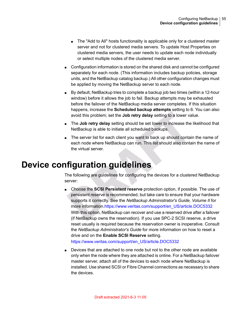- The "Add to All" hosts functionality is applicable only for a clustered master server and not for clustered media servers. To update Host Properties on clustered media servers, the user needs to update each node individually or select multiple nodes of the clustered media server.
- Configuration information is stored on the shared disk and cannot be configured separately for each node. (This information includes backup policies, storage units, and the NetBackup catalog backup.) All other configuration changes must be applied by moving the NetBackup server to each node.
- By default, NetBackup tries to complete a backup job two times (within a 12-hour window) before it allows the job to fail. Backup attempts may be exhausted before the failover of the NetBackup media server completes. If this situation happens, increase the **Scheduled backup attempts** setting to 6. You can also avoid this problem; set the **Job retry delay** setting to a lower value.
- The **Job retry delay** setting should be set lower to increase the likelihood that NetBackup is able to initiate all scheduled backups.
- <span id="page-54-0"></span>■ The server list for each client you want to back up should contain the name of each node where NetBackup can run. This list should also contain the name of the virtual server.

### **Device configuration guidelines**

The following are guidelines for configuring the devices for a clustered NetBackup server:

■ Choose the **SCSI Persistent reserve** protection option, if possible. The use of persistent reserve is recommended, but take care to ensure that your hardware supports it correctly. See the *NetBackup Administrator's Guide, Volume II* for more information[.https://www.veritas.com/support/en\\_US/article.DOC5332](https://www.veritas.com/support/en_US/article.DOC5332) With this option, NetBackup can recover and use a reserved drive after a failover (if NetBackup owns the reservation). If you use SPC-2 SCSI reserve, a drive reset usually is required because the reservation owner is inoperative. Consult the *NetBackup Administrator's Guide* for more information on how to reset a drive and on the **Enable SCSI Reserve** setting.

[https://www.veritas.com/support/en\\_US/article.DOC5332](https://www.veritas.com/support/en_US/article.DOC5332)

■ Devices that are attached to one node but not to the other node are available only when the node where they are attached is online. For a NetBackup failover master server, attach all of the devices to each node where NetBackup is installed. Use shared SCSI or Fibre Channel connections as necessary to share the devices.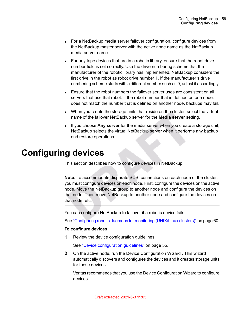- For a NetBackup media server failover configuration, configure devices from the NetBackup master server with the active node name as the NetBackup media server name.
- For any tape devices that are in a robotic library, ensure that the robot drive number field is set correctly. Use the drive numbering scheme that the manufacturer of the robotic library has implemented. NetBackup considers the first drive in the robot as robot drive number 1. If the manufacturer's drive numbering scheme starts with a different number such as 0, adjust it accordingly.
- Ensure that the robot numbers the failover server uses are consistent on all servers that use that robot. If the robot number that is defined on one node, does not match the number that is defined on another node, backups may fail.
- When you create the storage units that reside on the cluster, select the virtual name of the failover NetBackup server for the **Media server** setting.
- <span id="page-55-0"></span>■ If you choose **Any server** for the media server when you create a storage unit, NetBackup selects the virtual NetBackup server when it performs any backup and restore operations.

#### **Configuring devices**

This section describes how to configure devices in NetBackup.

**Note:** To accommodate disparate SCSI connections on each node of the cluster, you must configure devices on each node. First, configure the devices on the active node. Move the NetBackup group to another node and configure the devices on that node. Then move NetBackup to another node and configure the devices on that node, etc.

You can configure NetBackup to failover if a robotic device fails.

See ["Configuring](#page-59-1) robotic daemons for monitoring (UNIX/Linux clusters)" on page 60.

#### **To configure devices**

**1** Review the device configuration guidelines.

See "Device [configuration](#page-54-0) guidelines" on page 55.

**2** On the active node, run the Device Configuration Wizard . This wizard automatically discovers and configures the devices and it creates storage units for those devices.

Veritas recommends that you use the Device Configuration Wizard to configure devices.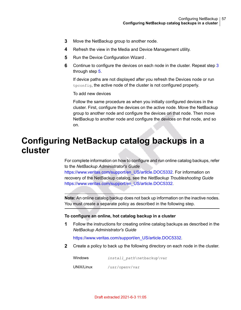- <span id="page-56-1"></span>**3** Move the NetBackup group to another node.
- <span id="page-56-2"></span>**4** Refresh the view in the Media and Device Management utility.
- **5** Run the Device Configuration Wizard.
- **6** Continue to configure the devices on each node in the cluster. Repeat step [3](#page-56-1) through step [5](#page-56-2).

If device paths are not displayed after you refresh the Devices node or run tpconfig, the active node of the cluster is not configured properly.

To add new devices

<span id="page-56-0"></span>Follow the same procedure as when you initially configured devices in the cluster. First, configure the devices on the active node. Move the NetBackup group to another node and configure the devices on that node. Then move NetBackup to another node and configure the devices on that node, and so on.

### **Configuring NetBackup catalog backups in a cluster**

For complete information on how to configure and run online catalog backups, refer to the *NetBackup Administrator's Guide* [https://www.veritas.com/support/en\\_US/article.DOC5332.](https://www.veritas.com/support/en_US/article.DOC5332) For information on recovery of the NetBackup catalog, see the *NetBackup Troubleshooting Guide* [https://www.veritas.com/support/en\\_US/article.DOC5332.](https://www.veritas.com/support/en_US/article.DOC5332)

**Note:** An online catalog backup does not back up information on the inactive nodes. You must create a separate policy as described in the following step.

#### **To configure an online, hot catalog backup in a cluster**

**1** Follow the instructions for creating online catalog backups as described in the *NetBackup Administrator's Guide*

[https://www.veritas.com/support/en\\_US/article.DOC5332.](https://www.veritas.com/support/en_US/article.DOC5332)

**2** Create a policy to back up the following directory on each node in the cluster.

Windows *install path*\netbackup\var UNIX/Linux /usr/openv/var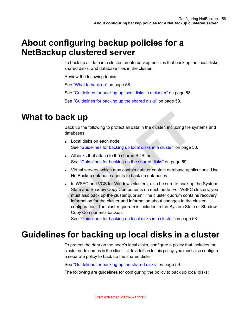#### **About configuring backup policies for a NetBackup clustered server**

<span id="page-57-0"></span>To back up all data in a cluster, create backup policies that back up the local disks, shared disks, and database files in the cluster.

Review the following topics:

See ["What](#page-57-1) to back up" on page 58.

<span id="page-57-1"></span>See ["Guidelines](#page-57-2) for backing up local disks in a cluster" on page 58.

See ["Guidelines](#page-58-0) for backing up the shared disks" on page 59.

#### **What to back up**

Back up the following to protect all data in the cluster, including file systems and databases:

- Local disks on each node. See ["Guidelines](#page-57-2) for backing up local disks in a cluster" on page 58.
- All disks that attach to the shared SCSI bus. See ["Guidelines](#page-58-0) for backing up the shared disks" on page 59.
- Virtual servers, which may contain data or contain database applications. Use NetBackup database agents to back up databases.
- <span id="page-57-2"></span>■ In WSFC and VCS for Windows clusters, also be sure to back up the System State and Shadow Copy Components on each node. For WSFC clusters, you must also back up the cluster quorum. The cluster quorum contains recovery information for the cluster and information about changes to the cluster configuration. The cluster quorum is included in the System State or Shadow Copy Components backup.

See ["Guidelines](#page-57-2) for backing up local disks in a cluster" on page 58.

#### **Guidelines for backing up local disks in a cluster**

To protect the data on the node's local disks, configure a policy that includes the cluster node names in the client list. In addition to this policy, you must also configure a separate policy to back up the shared disks.

See ["Guidelines](#page-58-0) for backing up the shared disks" on page 59.

The following are guidelines for configuring the policy to back up local disks: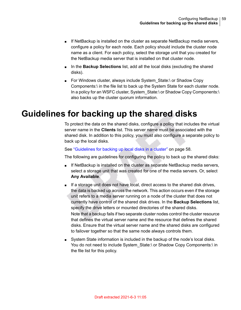- If NetBackup is installed on the cluster as separate NetBackup media servers, configure a policy for each node. Each policy should include the cluster node name as a client. For each policy, select the storage unit that you created for the NetBackup media server that is installed on that cluster node.
- In the **Backup Selections** list, add all the local disks (excluding the shared disks).
- <span id="page-58-0"></span>■ For Windows cluster, always include System\_State:\ or Shadow Copy Components:\ in the file list to back up the System State for each cluster node. In a policy for an WSFC cluster, System State:\ or Shadow Copy Components:\ also backs up the cluster quorum information.

#### **Guidelines for backing up the shared disks**

To protect the data on the shared disks, configure a policy that includes the virtual server name in the **Clients** list. This server name must be associated with the shared disk. In addition to this policy, you must also configure a separate policy to back up the local disks.

See ["Guidelines](#page-57-2) for backing up local disks in a cluster" on page 58.

The following are guidelines for configuring the policy to back up the shared disks:

- If NetBackup is installed on the cluster as separate NetBackup media servers, select a storage unit that was created for one of the media servers. Or, select **Any Available**.
- If a storage unit does not have local, direct access to the shared disk drives, the data is backed up across the network. This action occurs even if the storage unit refers to a media server running on a node of the cluster that does not currently have control of the shared disk drives. In the **Backup Selections** list, specify the drive letters or mounted directories of the shared disks. Note that a backup fails if two separate cluster nodes control the cluster resource that defines the virtual server name and the resource that defines the shared disks. Ensure that the virtual server name and the shared disks are configured to failover together so that the same node always controls them.
- System State information is included in the backup of the node's local disks. You do not need to include System\_State:\ or Shadow Copy Components:\ in the file list for this policy.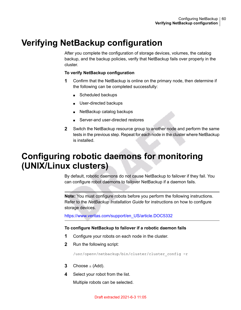## **Verifying NetBackup configuration**

<span id="page-59-0"></span>After you complete the configuration of storage devices, volumes, the catalog backup, and the backup policies, verify that NetBackup fails over properly in the cluster.

#### **To verify NetBackup configuration**

- **1** Confirm that the NetBackup is online on the primary node, then determine if the following can be completed successfully:
	- Scheduled backups
	- User-directed backups
	- NetBackup catalog backups
	- Server-and user-directed restores
- <span id="page-59-1"></span>**2** Switch the NetBackup resource group to another node and perform the same tests in the previous step. Repeat for each node in the cluster where NetBackup is installed.

### **Configuring robotic daemons for monitoring (UNIX/Linux clusters)**

By default, robotic daemons do not cause NetBackup to failover if they fail. You can configure robot daemons to failover NetBackup if a daemon fails.

**Note:** You must configure robots before you perform the following instructions. Refer to the *NetBackup Installation Guide* for instructions on how to configure storage devices.

[https://www.veritas.com/support/en\\_US/article.DOC5332](https://www.veritas.com/support/en_US/article.DOC5332)

#### **To configure NetBackup to failover if a robotic daemon fails**

- **1** Configure your robots on each node in the cluster.
- **2** Run the following script:

/usr/openv/netbackup/bin/cluster/cluster\_config -r

- **3** Choose a (Add).
- **4** Select your robot from the list.

Multiple robots can be selected.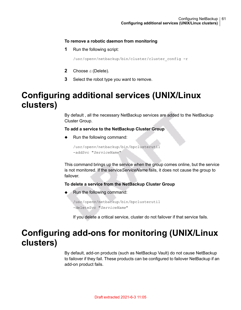#### **To remove a robotic daemon from monitoring**

**1** Run the following script:

/usr/openv/netbackup/bin/cluster/cluster\_config -r

- **2** Choose d (Delete).
- <span id="page-60-1"></span>**3** Select the robot type you want to remove.

### **Configuring additional services (UNIX/Linux clusters)**

By default , all the necessary NetBackup services are added to the NetBackup Cluster Group.

#### **To add a service to the NetBackup Cluster Group**

Run the following command:

/usr/openv/netbackup/bin/bpclusterutil -addSvc "*ServiceName*"

This command brings up the service when the group comes online, but the service is not monitored. If the service*ServiceName* fails, it does not cause the group to failover.

#### **To delete a service from the NetBackup Cluster Group**

<span id="page-60-0"></span>Run the following command:

```
/usr/openv/netbackup/bin/bpclusterutil
-deleteSvc "ServiceName"
```
If you delete a critical service, cluster do not failover if that service fails.

### **Configuring add-ons for monitoring (UNIX/Linux clusters)**

By default, add-on products (such as NetBackup Vault) do not cause NetBackup to failover if they fail. These products can be configured to failover NetBackup if an add-on product fails.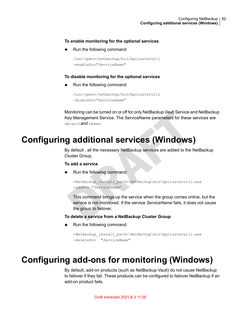#### **To enable monitoring for the optional services**

Run the following command:

```
/usr/openv/netbackup/bin/bpclusterutil
-enableSvc"ServiceName"
```
#### **To disable monitoring for the optional services**

Run the following command:

```
/usr/openv/netbackup/bin/bpclusterutil
-disbleSvc"ServiceName"
```
<span id="page-61-1"></span>Monitoring can be turned on or off for only NetBackup Vault Service and NetBackup Key Management Service. The ServiceName parameters for these services are nbvaultand nbkms.

#### **Configuring additional services (Windows)**

By default , all the necessary NetBackup services are added to the NetBackup Cluster Group.

#### **To add a service**

Run the following command:

```
<NetBackup_install_path>\NetBackup\bin\bpclusterutil.exe
-addSvc "ServiceName"
```
This command brings up the service when the group comes online, but the service is not monitored. If the service *ServiceName* fails, it does not cause the group to failover.

#### **To delete a service from a NetBackup Cluster Group**

<span id="page-61-0"></span>Run the following command:

```
<NetBackup_install_path>\NetBackup\bin\bpclusterutil.exe
-deleteSvc "ServiceName"
```
## **Configuring add-ons for monitoring (Windows)**

By default, add-on products (such as NetBackup Vault) do not cause NetBackup to failover if they fail. These products can be configured to failover NetBackup if an add-on product fails.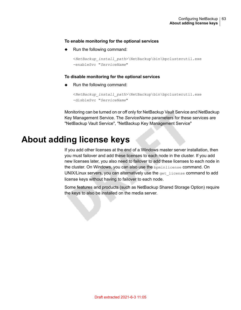#### **To enable monitoring for the optional services**

◆ Run the following command:

```
<NetBackup_install_path>\NetBackup\bin\bpclusterutil.exe
-enableSvc "ServiceName"
```
#### **To disable monitoring for the optional services**

Run the following command:

```
<NetBackup_install_path>\NetBackup\bin\bpclusterutil.exe
-disbleSvc "ServiceName"
```
<span id="page-62-0"></span>Monitoring can be turned on or off only for NetBackup Vault Service and NetBackup Key Management Service. The *ServiceName* parameters for these services are "NetBackup Vault Service", "NetBackup Key Management Service"

#### **About adding license keys**

If you add other licenses at the end of a Windows master server installation, then you must failover and add these licenses to each node in the cluster. If you add new licenses later, you also need to failover to add these licenses to each node in the cluster. On Windows, you can also use the bpminlicense command. On UNIX/Linux servers, you can alternatively use the get license command to add license keys without having to failover to each node.

Some features and products (such as NetBackup Shared Storage Option) require the keys to also be installed on the media server.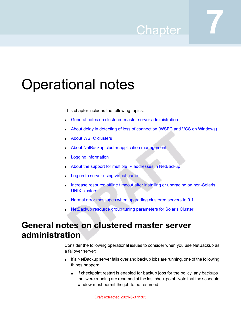## Chapter

## Operational notes

This chapter includes the following topics:

- General notes on clustered master server [administration](#page-63-0)
- About delay in detecting of loss of [connection](#page-65-0) (WSFC and VCS on Windows)
- **About WSFC [clusters](#page-65-1)**
- About NetBackup cluster application [management](#page-66-0)
- **Logging [information](#page-66-1)**
- About the support for multiple IP addresses in [NetBackup](#page-67-0)
- Log on to [server](#page-68-0) using virtual name
- Increase resource offline timeout after installing or upgrading on [non-Solaris](#page-68-1) UNIX [clusters](#page-68-1)
- <span id="page-63-0"></span>Normal error [messages](#page-68-2) when upgrading clustered servers to 9.1
- NetBackup resource group tuning [parameters](#page-68-3) for Solaris Cluster

## **General notes on clustered master server administration**

Consider the following operational issues to consider when you use NetBackup as a failover server:

- If a NetBackup server fails over and backup jobs are running, one of the following things happen:
	- If checkpoint restart is enabled for backup jobs for the policy, any backups that were running are resumed at the last checkpoint. Note that the schedule window must permit the job to be resumed.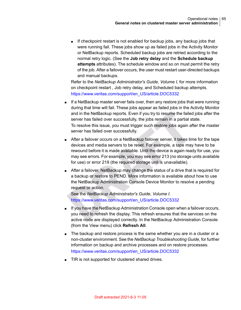■ If checkpoint restart is not enabled for backup jobs, any backup jobs that were running fail. These jobs show up as failed jobs in the Activity Monitor or NetBackup reports. Scheduled backup jobs are retried according to the normal retry logic. (See the **Job retry delay** and the **Schedule backup attempts** attributes). The schedule window and so on must permit the retry of the job. After a failover occurs, the user must restart user-directed backups and manual backups.

Refer to the *NetBackup Administrator's Guide, Volume I*, for more information on checkpoint restart , Job retry delay, and Scheduled backup attempts. [https://www.veritas.com/support/en\\_US/article.DOC5332](https://www.veritas.com/support/en_US/article.DOC5332)

- If a NetBackup master server fails over, then any restore jobs that were running during that time will fail. These jobs appear as failed jobs in the Activity Monitor and in the NetBackup reports. Even if you try to resume the failed jobs after the server has failed over successfully, the jobs remain in a partial state. To resolve this issue, you must trigger such restore jobs again after the master server has failed over successfully.
- After a failover occurs on a NetBackup failover server, it takes time for the tape devices and media servers to be reset. For example, a tape may have to be rewound before it is made available. Until the device is again ready for use, you may see errors. For example, you may see error 213 (no storage units available for use) or error 219 (the required storage unit is unavailable).
- After a failover, NetBackup may change the status of a drive that is required for a backup or restore to PEND. More information is available about how to use the NetBackup Administration Console Device Monitor to resolve a pending request or action.

See the *NetBackup Administrator's Guide, Volume I*. [https://www.veritas.com/support/en\\_US/article.DOC5332](https://www.veritas.com/support/en_US/article.DOC5332)

- If you have the NetBackup Administration Console open when a failover occurs, you need to refresh the display. This refresh ensures that the services on the active node are displayed correctly. In the NetBackup Administration Console (from the View menu) click **Refresh All**.
- The backup and restore process is the same whether you are in a cluster or a non-cluster environment. See the *NetBackup Troubleshooting Guide*, for further information on backup and archive processes and on restore processes. [https://www.veritas.com/support/en\\_US/article.DOC5332](https://www.veritas.com/support/en_US/article.DOC5332)
- TIR is not supported for clustered shared drives.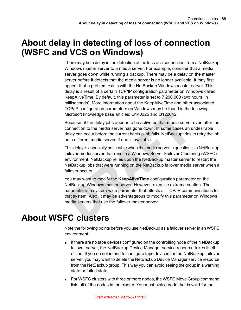### **About delay in detecting of loss of connection (WSFC and VCS on Windows)**

<span id="page-65-0"></span>There may be a delay in the detection of the loss of a connection from a NetBackup Windows master server to a media server. For example, consider that a media server goes down while running a backup. There may be a delay on the master server before it detects that the media server is no longer available. It may first appear that a problem exists with the NetBackup Windows master server. This delay is a result of a certain TCP/IP configuration parameter on Windows called KeepAliveTime. By default, this parameter is set to 7,200,000 (two hours, in milliseconds). More information about the KeepAliveTime and other associated TCP/IP configuration parameters on Windows may be found in the following Microsoft knowledge base articles: Q140325 and Q120642.

Because of the delay jobs appear to be active on that media server even after the connection to the media server has gone down. In some cases an undesirable delay can occur before the current backup job fails. NetBackup tries to retry the job on a different media server, if one is available.

This delay is especially noticeable when the media server in question is a NetBackup failover media server that runs in a Windows Server Failover Clustering (WSFC) environment. NetBackup relies upon the NetBackup master server to restart the NetBackup jobs that were running on the NetBackup failover media server when a failover occurs.

<span id="page-65-1"></span>You may want to modify the **KeepAliveTime** configuration parameter on the NetBackup Windows master server. However, exercise extreme caution. The parameter is a system-wide parameter that affects all TCP/IP communications for that system. Also, it may be advantageous to modify this parameter on Windows media servers that use the failover master server.

### **About WSFC clusters**

Note the following points before you use NetBackup as a failover server in an WSFC environment:

- If there are no tape devices configured on the controlling node of the NetBackup failover server, the NetBackup Device Manager service resource takes itself offline. If you do not intend to configure tape devices for the NetBackup failover server, you may want to delete the NetBackup Device Manager service resource from the NetBackup group. This way you can avoid seeing the group in a warning state or failed state.
- For WSFC clusters with three or more nodes, the WSFC Move Group command lists all of the nodes in the cluster. You must pick a node that is valid for the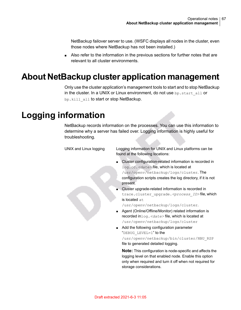NetBackup failover server to use. (WSFC displays all nodes in the cluster, even those nodes where NetBackup has not been installed.)

<span id="page-66-0"></span>■ Also refer to the information in the previous sections for further notes that are relevant to all cluster environments.

### **About NetBackup cluster application management**

<span id="page-66-1"></span>Only use the cluster application's management tools to start and to stop NetBackup in the cluster. In a UNIX or Linux environment, do not use  $bp.start$  all or bp.kill\_all to start or stop NetBackup.

### **Logging information**

NetBackup records information on the processes. You can use this information to determine why a server has failed over. Logging information is highly useful for troubleshooting.

| UNIX and Linux logging | Logging information for UNIX and Linux platforms can be<br>found at the following locations:                                                                                                                                                                                                                                                                                                                                                                                                                                                                                                                                                                                                                                                                                                                    |
|------------------------|-----------------------------------------------------------------------------------------------------------------------------------------------------------------------------------------------------------------------------------------------------------------------------------------------------------------------------------------------------------------------------------------------------------------------------------------------------------------------------------------------------------------------------------------------------------------------------------------------------------------------------------------------------------------------------------------------------------------------------------------------------------------------------------------------------------------|
|                        | Cluster configuration-related information is recorded in<br>$\blacksquare$<br>log.cc. <date>file, which is located at<br/>/usr/openv/netbackup/logs/cluster. The<br/>configuration scripts creates the log directory, if it is not<br/>present.<br/>• Cluster upgrade-related information is recorded in<br/>trace.cluster upgrade.<process id="">file, which<br/>is located at<br/>/usr/openv/netbackup/logs/cluster.<br/>Agent (Online/Offline/Monitor) related information is<br/>recorded in <math>log . \leq date &gt; file</math>, which is located at<br/>/usr/openv/netbackup/logs/cluster<br/>Add the following configuration parameter<br/><math>\blacksquare</math><br/>"DEBUG LEVEL=1" to the<br/>/usr/openv/netbackup/bin/cluster/NBU RSP<br/>file to generated detailed logging.</process></date> |
|                        | <b>Note:</b> This configuration is node-specific and affects the<br>logging level on that enabled node. Enable this option<br>only when required and turn it off when not required for<br>storage considerations.                                                                                                                                                                                                                                                                                                                                                                                                                                                                                                                                                                                               |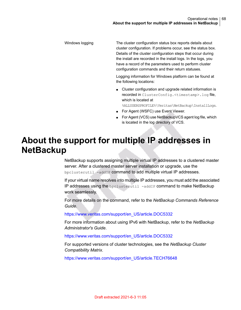The cluster configuration status box reports details about cluster configuration. If problems occur, see the status box. Details of the cluster configuration steps that occur during the install are recorded in the install logs. In the logs, you have a record of the parameters used to perform cluster configuration commands and their return statuses. Windows logging

> Logging information for Windows platform can be found at the following locations:

- Cluster configuration and upgrade related information is recorded in ClusterConfig.<timestamp>.log file, which is located at %ALLUSERSPROFILE%\Veritas\NetBackup\InstallLogs.
- For Agent (WSFC) use Event Viewer.
- For Agent (VCS) use NetBackupVCS agent log file, which is located in the log directory of VCS.

#### **About the support for multiple IP addresses in NetBackup**

<span id="page-67-0"></span>NetBackup supports assigning multiple virtual IP addresses to a clustered master server. After a clustered master server installation or upgrade, use the bpclusterutil -addIP command to add multiple virtual IP addresses.

If your virtual name resolves into multiple IP addresses, you must add the associated IP addresses using the bpclusterutil -addIP command to make NetBackup work seamlessly.

For more details on the command, refer to the *NetBackup Commands Reference Guide*.

[https://www.veritas.com/support/en\\_US/article.DOC5332](https://www.veritas.com/support/en_US/article.DOC5332)

For more information about using IPv6 with NetBackup, refer to the *NetBackup Administrator's Guide*.

[https://www.veritas.com/support/en\\_US/article.DOC5332](https://www.veritas.com/support/en_US/article.DOC5332)

For supported versions of cluster technologies, see the *NetBackup Cluster Compatibility Matrix*.

[https://www.veritas.com/support/en\\_US/article.TECH76648](https://www.veritas.com/support/en_US/article.TECH76648)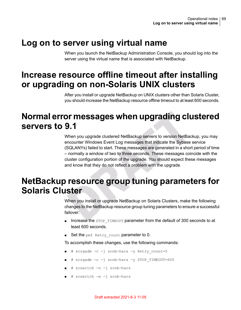#### **Log on to server using virtual name**

<span id="page-68-1"></span><span id="page-68-0"></span>When you launch the NetBackup Administration Console, you should log into the server using the virtual name that is associated with NetBackup.

## **Increase resource offline timeout after installing or upgrading on non-Solaris UNIX clusters**

<span id="page-68-2"></span>After you install or upgrade NetBackup on UNIX clusters other than Solaris Cluster, you should increase the NetBackup resource offline timeout to at least 600 seconds.

#### **Normal error messages when upgrading clustered servers to 9.1**

<span id="page-68-3"></span>When you upgrade clustered NetBackup servers to version NetBackup, you may encounter Windows Event Log messages that indicate the Sybase service (SQLANYs) failed to start. These messages are generated in a short period of time – normally a window of two to three seconds. These messages coincide with the cluster configuration portion of the upgrade. You should expect these messages and know that they do not reflect a problem with the upgrade.

### **NetBackup resource group tuning parameters for Solaris Cluster**

When you install or upgrade NetBackup on Solaris Clusters, make the following changes to the NetBackup resource group tuning parameters to ensure a successful failover:

- Increase the STOP\_TIMEOUT parameter from the default of 300 seconds to at least 600 seconds.
- Set the pmf Retry count parameter to 0.

To accomplish these changes, use the following commands:

- # scrgadm -c -j scnb-hars -y Retry count=0
- # scrgadm -c -j scnb-hars -y STOP\_TIMEOUT=600
- # scswitch -n -j scnb-hars
- # scswitch -e -j scnb-hars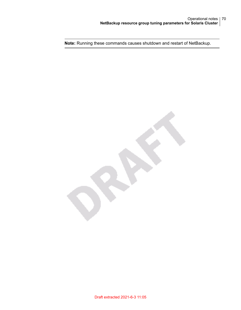**Note:** Running these commands causes shutdown and restart of NetBackup.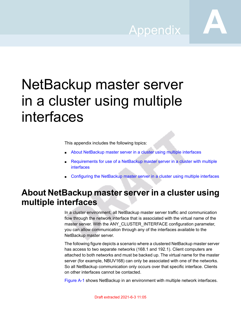Appendix **A**

## NetBackup master server in a cluster using multiple interfaces

This appendix includes the following topics:

- About [NetBackup](#page-70-0) master server in a cluster using multiple interfaces
- <span id="page-70-0"></span>[Requirements](#page-72-0) for use of a NetBackup master server in a cluster with multiple [interfaces](#page-72-0)
- [Configuring](#page-72-1) the NetBackup master server in a cluster using multiple interfaces

### **About NetBackup master server in a cluster using multiple interfaces**

In a cluster environment, all NetBackup master server traffic and communication flow through the network interface that is associated with the virtual name of the master server. With the ANY\_CLUSTER\_INTERFACE configuration parameter, you can allow communication through any of the interfaces available to the NetBackup master server.

The following figure depicts a scenario where a clustered NetBackup master server has access to two separate networks (168.1 and 192.1). Client computers are attached to both networks and must be backed up. The virtual name for the master server (for example, NBUV168) can only be associated with one of the networks. So all NetBackup communication only occurs over that specific interface. Clients on other interfaces cannot be contacted.

[Figure](#page-71-0) A-1 shows NetBackup in an environment with multiple network interfaces.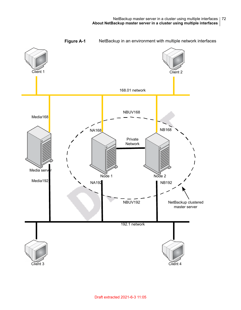<span id="page-71-0"></span>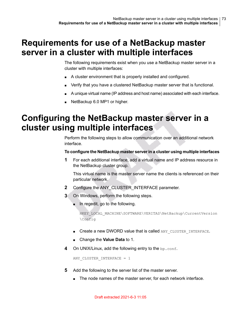## **Requirements for use of a NetBackup master server in a cluster with multiple interfaces**

The following requirements exist when you use a NetBackup master server in a cluster with multiple interfaces:

- A cluster environment that is properly installed and configured.
- Verify that you have a clustered NetBackup master server that is functional.
- A unique virtual name (IP address and host name) associated with each interface.
- NetBackup 6.0 MP1 or higher.

## **Configuring the NetBackup master server in a cluster using multiple interfaces**

Perform the following steps to allow communication over an additional network interface.

#### **To configure the NetBackup master serverin a cluster using multiple interfaces**

<span id="page-72-0"></span>**1** For each additional interface, add a virtual name and IP address resource in the NetBackup cluster group.

This virtual name is the master server name the clients is referenced on their particular network.

- **2** Configure the ANY\_CLUSTER\_INTERFACE parameter.
- **3** On Windows, perform the following steps.
	- In regedit, go to the following.

HKEY\_LOCAL\_MACHINE\SOFTWARE\VERITAS\NetBackup\CurrentVersion \Config

- Create a new DWORD value that is called ANY\_CLUSTER\_INTERFACE.
- Change the **Value Data** to 1.
- **4** On UNIX/Linux, add the following entry to the bp.conf.

ANY CLUSTER INTERFACE =  $1$ 

- **5** Add the following to the server list of the master server.
	- The node names of the master server, for each network interface.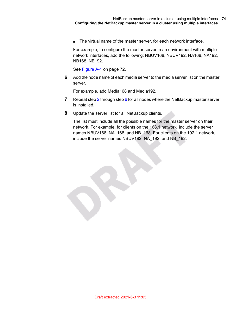■ The virtual name of the master server, for each network interface.

For example, to configure the master server in an environment with multiple network interfaces, add the following: NBUV168, NBUV192, NA168, NA192, NB168, NB192.

See [Figure](#page-71-0) A-1 on page 72.

V

<span id="page-73-0"></span>**6** Add the node name of each media server to the media server list on the master server.

For example, add Media168 and Media192.

- **7** Repeat step [2](#page-72-0) through step [6](#page-73-0) for all nodes where the NetBackup master server is installed.
- **8** Update the server list for all NetBackup clients.

The list must include all the possible names for the master server on their network. For example, for clients on the 168.1 network, include the server names NBUV168, NA\_168, and NB\_168. For clients on the 192.1 network, include the server names NBUV192, NA\_192, and NB\_192.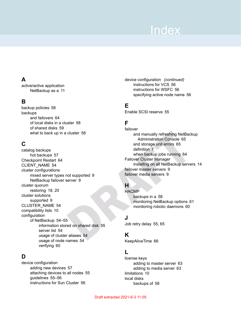# **Index**

#### **A**

active/active application NetBackup as a [11](#page-10-0)

#### **B**

backup policies [58](#page-57-0) backups and failovers [64](#page-63-0) of local disks in a cluster [58](#page-57-1) of shared disks [59](#page-58-0) what to back up in a cluster [58](#page-57-2)

#### **C**

catalog backups hot backups [57](#page-56-0) Checkpoint Restart [64](#page-63-1) CLIENT\_NAME [54](#page-53-0) cluster configurations mixed server types not supported [9](#page-8-0) NetBackup failover server [9](#page-8-1) cluster quorum restoring [18,](#page-17-0) [20](#page-19-0) cluster solutions supported [9](#page-8-2) CLUSTER\_NAME [54](#page-53-1) compatibility lists [10](#page-9-0) configuration of NetBackup [54–55](#page-53-2) information stored on shared disk [55](#page-54-0) server list [54](#page-53-2) usage of cluster aliases [54](#page-53-3) usage of node names [54](#page-53-3) verifying [60](#page-59-0)

#### **D**

device configuration adding new devices [57](#page-56-1) attaching devices to all nodes [55](#page-54-1) guidelines [55–56](#page-54-2) instructions for Sun Cluster [56](#page-55-0)

device configuration *(continued)* instructions for VCS [56](#page-55-0) instructions for WSFC [56](#page-55-0) specifying active node name [56](#page-55-1)

#### **E**

Enable SCSI reserve [55](#page-54-3)

### **F**

failover and manually refreshing NetBackup Administration Console [65](#page-64-0) and storage unit errors [65](#page-64-1) definition [7](#page-6-0) when backup jobs running [64](#page-63-0) Failover Cluster Manager installing on all NetBackup servers [14](#page-13-0) failover master servers [9](#page-8-1) failover media servers [9](#page-8-3)

#### **H**

**HACMP** backups in a [58](#page-57-2) monitoring NetBackup options [61](#page-60-0) monitoring robotic daemons [60](#page-59-1)

#### **J**

Job retry delay [55](#page-54-4), [65](#page-64-2)

#### **K**

KeepAliveTime [66](#page-65-0)

#### **L**

license keys adding to master server [63](#page-62-0) adding to media server [63](#page-62-1) limitations [10](#page-9-1) local disks backups of [58](#page-57-1)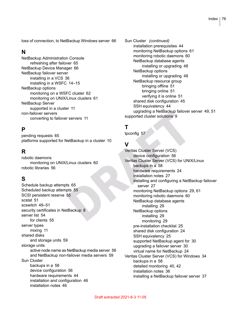loss of connection, to NetBackup Windows server [66](#page-65-1)

#### **N**

NetBackup Administration Console refreshing after failover [65](#page-64-0) NetBackup Device Manager [66](#page-65-2) NetBackup failover server installing in a VCS [36](#page-35-0) installing in a WSFC [14–15](#page-13-0) NetBackup options monitoring on a WSFC cluster [62](#page-61-0) monitoring on UNIX/Linux clusters [61](#page-60-0) NetBackup Server supported in a cluster [11](#page-10-1) non-failover servers converting to failover servers [11](#page-10-2)

#### **P**

pending requests [65](#page-64-3) platforms supported for NetBackup in a cluster [10](#page-9-0)

#### **R**

robotic daemons monitoring on UNIX/Linux clusters [60](#page-59-2) robotic libraries [56](#page-55-2)

#### **S**

Schedule backup attempts [65](#page-64-2) Scheduled backup attempts [55](#page-54-5) SCSI persistent reserve [55](#page-54-3) scstat [51](#page-50-0) scswitch [49–51](#page-48-0) security certificates in NetBackup [8](#page-7-0) server list [54](#page-53-2) for clients [55](#page-54-6) server types mixing [11](#page-10-3) shared disks and storage units [59](#page-58-1) storage units active node name as NetBackup media server [56](#page-55-3) and NetBackup non-failover media servers [59](#page-58-2) Sun Cluster backups in a [58](#page-57-2) device configuration [56](#page-55-0) hardware requirements [44](#page-43-0) installation and configuration [46](#page-45-0) installation notes [46](#page-45-1)

Sun Cluster *(continued)* installation prerequisites [44](#page-43-1) monitoring NetBackup options [61](#page-60-0) monitoring robotic daemons [60](#page-59-1) NetBackup database agents installing or upgrading [48](#page-47-0) NetBackup options installing or upgrading [48](#page-47-0) NetBackup resource group bringing offline [51](#page-50-1) bringing online [51](#page-50-2) verifying it is online [51](#page-50-3) shared disk configuration [45](#page-44-0) SSH equivalency [44](#page-43-2) upgrading a NetBackup failover server [49,](#page-48-1) [51](#page-50-4) supported cluster solutions [9](#page-8-2)

#### **T**

tpconfig [57](#page-56-2)

#### **V**

Veritas Cluster Server (VCS) device configuration [56](#page-55-0) Veritas Cluster Server (VCS) for UNIX/Linux backups in a [58](#page-57-2) hardware requirements [24](#page-23-0) installation notes [27](#page-26-0) installing and configuring a NetBackup failover server [27](#page-26-1) monitoring NetBackup options [29,](#page-28-0) [61](#page-60-0) monitoring robotic daemons [60](#page-59-1) NetBackup database agents installing [29](#page-28-1) NetBackup options installing [29](#page-28-0) monitoring [29](#page-28-0) pre-installation checklist [25](#page-24-0) shared disk configuration [24](#page-23-1) SSH equivalency [25](#page-24-1) supported NetBackup agent for [30](#page-29-0) upgrading a failover server [30](#page-29-1) virtual name for NetBackup [24](#page-23-2) Veritas Cluster Server (VCS) for Windows [34](#page-33-0) backups in a [58](#page-57-2) detailed monitoring [40](#page-39-0), [42](#page-41-0) installation notes [36](#page-35-1) installing a NetBackup failover server [37](#page-36-0)